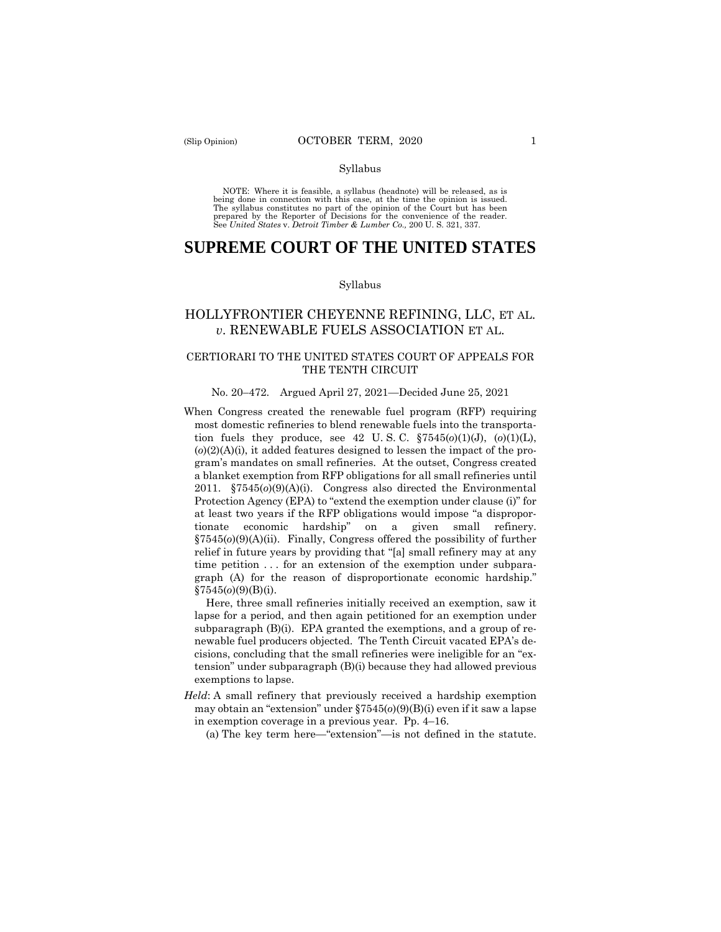#### Syllabus

 NOTE: Where it is feasible, a syllabus (headnote) will be released, as is being done in connection with this case, at the time the opinion is issued. The syllabus constitutes no part of the opinion of the Court but has been<br>prepared by the Reporter of Decisions for the convenience of the reader.<br>See United States v. Detroit Timber & Lumber Co., 200 U.S. 321, 337.

# **SUPREME COURT OF THE UNITED STATES**

#### Syllabus

# HOLLYFRONTIER CHEYENNE REFINING, LLC, ET AL. *v*. RENEWABLE FUELS ASSOCIATION ET AL.

# CERTIORARI TO THE UNITED STATES COURT OF APPEALS FOR THE TENTH CIRCUIT

### No. 20–472. Argued April 27, 2021—Decided June 25, 2021

When Congress created the renewable fuel program (RFP) requiring most domestic refineries to blend renewable fuels into the transportation fuels they produce, see 42 U. S. C. §7545(*o*)(1)(J), (*o*)(1)(L), (*o*)(2)(A)(i), it added features designed to lessen the impact of the program's mandates on small refineries. At the outset, Congress created a blanket exemption from RFP obligations for all small refineries until 2011. §7545(*o*)(9)(A)(i). Congress also directed the Environmental Protection Agency (EPA) to "extend the exemption under clause (i)" for at least two years if the RFP obligations would impose "a disproportionate economic hardship" on a given small refinery. §7545(*o*)(9)(A)(ii). Finally, Congress offered the possibility of further relief in future years by providing that "[a] small refinery may at any time petition ... for an extension of the exemption under subparagraph (A) for the reason of disproportionate economic hardship." §7545(*o*)(9)(B)(i).

Here, three small refineries initially received an exemption, saw it lapse for a period, and then again petitioned for an exemption under subparagraph (B)(i). EPA granted the exemptions, and a group of renewable fuel producers objected. The Tenth Circuit vacated EPA's decisions, concluding that the small refineries were ineligible for an "extension" under subparagraph (B)(i) because they had allowed previous exemptions to lapse.

*Held*: A small refinery that previously received a hardship exemption may obtain an "extension" under §7545(*o*)(9)(B)(i) even if it saw a lapse in exemption coverage in a previous year. Pp. 4–16.

(a) The key term here—"extension"—is not defined in the statute.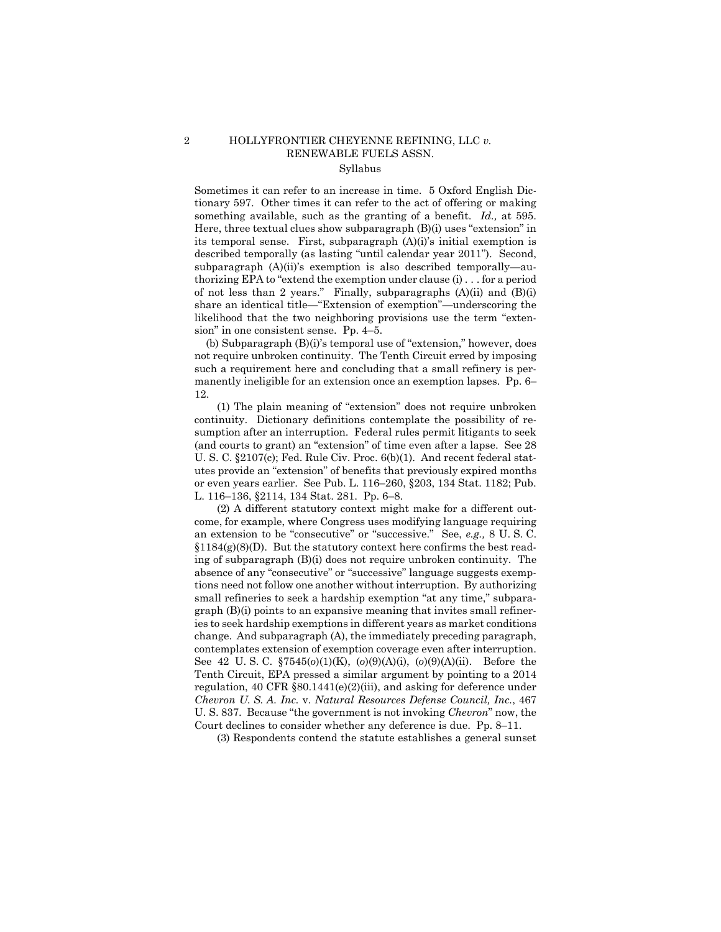# 2 HOLLYFRONTIER CHEYENNE REFINING, LLC *v.* RENEWABLE FUELS ASSN. Syllabus

 something available, such as the granting of a benefit. *Id.,* at 595. Here, three textual clues show subparagraph (B)(i) uses "extension" in Sometimes it can refer to an increase in time. 5 Oxford English Dictionary 597. Other times it can refer to the act of offering or making its temporal sense. First, subparagraph (A)(i)'s initial exemption is described temporally (as lasting "until calendar year 2011"). Second, subparagraph (A)(ii)'s exemption is also described temporally—authorizing EPA to "extend the exemption under clause (i) . . . for a period of not less than 2 years." Finally, subparagraphs  $(A)(ii)$  and  $(B)(i)$ share an identical title—"Extension of exemption"—underscoring the likelihood that the two neighboring provisions use the term "extension" in one consistent sense. Pp. 4–5.

(b) Subparagraph (B)(i)'s temporal use of "extension," however, does not require unbroken continuity. The Tenth Circuit erred by imposing such a requirement here and concluding that a small refinery is permanently ineligible for an extension once an exemption lapses. Pp. 6– 12.

(1) The plain meaning of "extension" does not require unbroken continuity. Dictionary definitions contemplate the possibility of resumption after an interruption. Federal rules permit litigants to seek (and courts to grant) an "extension" of time even after a lapse. See 28 U. S. C. §2107(c); Fed. Rule Civ. Proc. 6(b)(1). And recent federal statutes provide an "extension" of benefits that previously expired months or even years earlier. See Pub. L. 116–260, §203, 134 Stat. 1182; Pub. L. 116–136, §2114, 134 Stat. 281. Pp. 6–8.

 *Chevron U. S. A. Inc.* v. *Natural Resources Defense Council, Inc.*, 467 (2) A different statutory context might make for a different outcome, for example, where Congress uses modifying language requiring an extension to be "consecutive" or "successive." See, *e.g.,* 8 U. S. C.  $$1184(g)(8)(D)$ . But the statutory context here confirms the best reading of subparagraph (B)(i) does not require unbroken continuity. The absence of any "consecutive" or "successive" language suggests exemptions need not follow one another without interruption. By authorizing small refineries to seek a hardship exemption "at any time," subpara $graph (B)(i)$  points to an expansive meaning that invites small refineries to seek hardship exemptions in different years as market conditions change. And subparagraph (A), the immediately preceding paragraph, contemplates extension of exemption coverage even after interruption. See 42 U. S. C. §7545(*o*)(1)(K), (*o*)(9)(A)(i), (*o*)(9)(A)(ii). Before the Tenth Circuit, EPA pressed a similar argument by pointing to a 2014 regulation, 40 CFR §80.1441(e)(2)(iii), and asking for deference under U. S. 837. Because "the government is not invoking *Chevron*" now, the Court declines to consider whether any deference is due. Pp. 8–11.

(3) Respondents contend the statute establishes a general sunset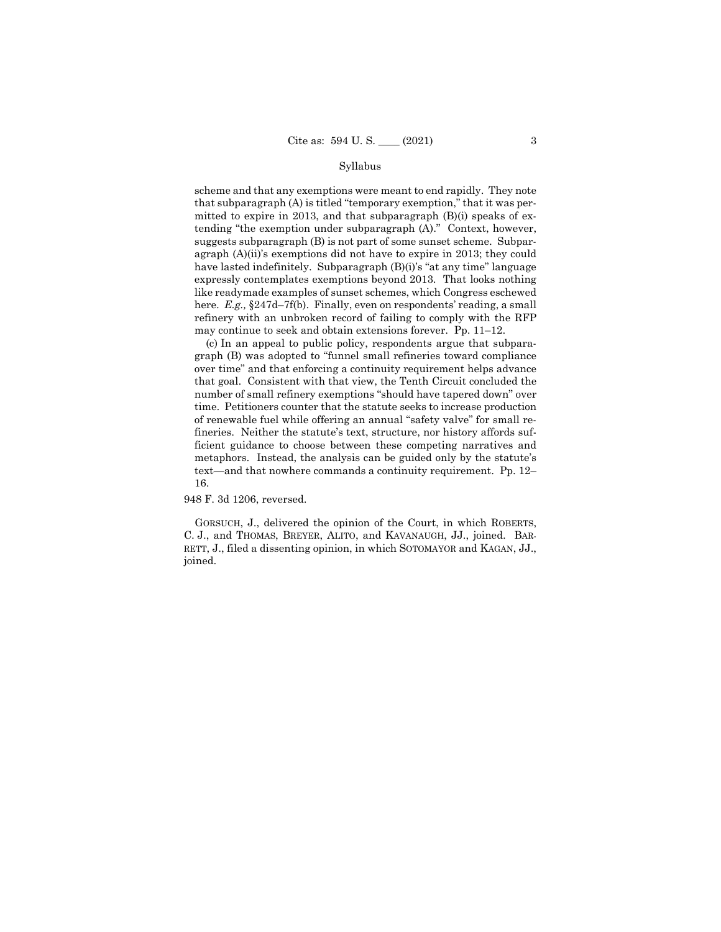### Syllabus

 may continue to seek and obtain extensions forever. Pp. 11–12. scheme and that any exemptions were meant to end rapidly. They note that subparagraph (A) is titled "temporary exemption," that it was permitted to expire in 2013, and that subparagraph (B)(i) speaks of extending "the exemption under subparagraph (A)." Context, however, suggests subparagraph (B) is not part of some sunset scheme. Subparagraph (A)(ii)'s exemptions did not have to expire in 2013; they could have lasted indefinitely. Subparagraph (B)(i)'s "at any time" language expressly contemplates exemptions beyond 2013. That looks nothing like readymade examples of sunset schemes, which Congress eschewed here. *E.g.,* §247d–7f(b). Finally, even on respondents' reading, a small refinery with an unbroken record of failing to comply with the RFP

(c) In an appeal to public policy, respondents argue that subparagraph (B) was adopted to "funnel small refineries toward compliance over time" and that enforcing a continuity requirement helps advance that goal. Consistent with that view, the Tenth Circuit concluded the number of small refinery exemptions "should have tapered down" over time. Petitioners counter that the statute seeks to increase production of renewable fuel while offering an annual "safety valve" for small refineries. Neither the statute's text, structure, nor history affords sufficient guidance to choose between these competing narratives and metaphors. Instead, the analysis can be guided only by the statute's text—and that nowhere commands a continuity requirement. Pp. 12– 16.

948 F. 3d 1206, reversed.

GORSUCH, J., delivered the opinion of the Court, in which ROBERTS, C. J., and THOMAS, BREYER, ALITO, and KAVANAUGH, JJ., joined. BAR-RETT, J., filed a dissenting opinion, in which SOTOMAYOR and KAGAN, JJ., joined.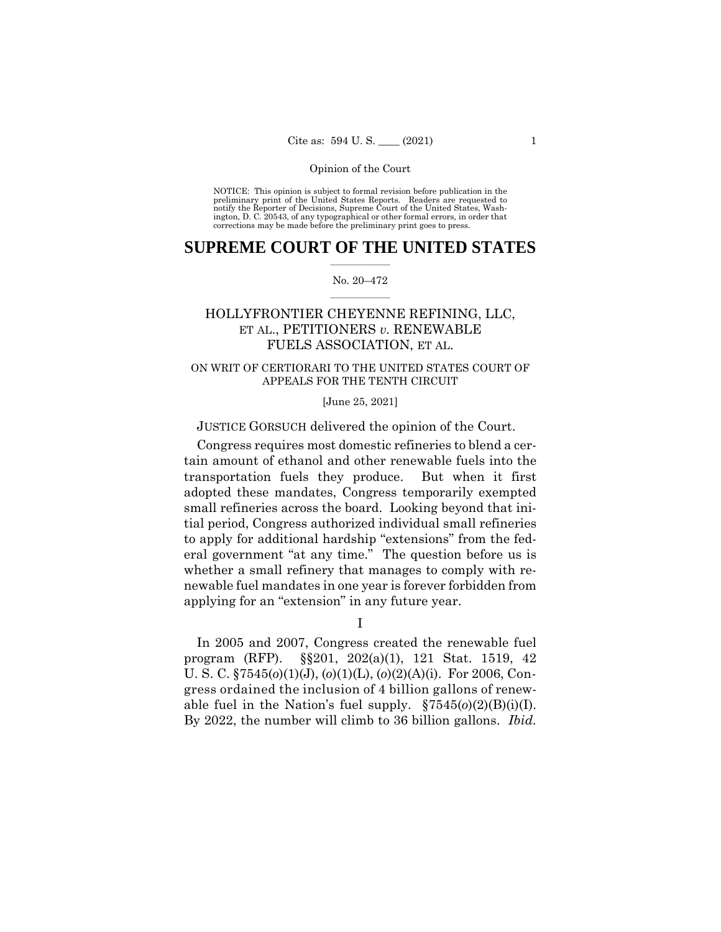NOTICE: This opinion is subject to formal revision before publication in the preliminary print of the United States Reports. Readers are requested to notify the Reporter of Decisions, Supreme Court of the United States, Wash-ington, D. C. 20543, of any typographical or other formal errors, in order that corrections may be made before the preliminary print goes to press.

# $\frac{1}{2}$  ,  $\frac{1}{2}$  ,  $\frac{1}{2}$  ,  $\frac{1}{2}$  ,  $\frac{1}{2}$  ,  $\frac{1}{2}$  ,  $\frac{1}{2}$ **SUPREME COURT OF THE UNITED STATES**

### $\frac{1}{2}$  ,  $\frac{1}{2}$  ,  $\frac{1}{2}$  ,  $\frac{1}{2}$  ,  $\frac{1}{2}$  ,  $\frac{1}{2}$ No. 20–472

# HOLLYFRONTIER CHEYENNE REFINING, LLC, ET AL., PETITIONERS *v.* RENEWABLE FUELS ASSOCIATION, ET AL.

# ON WRIT OF CERTIORARI TO THE UNITED STATES COURT OF APPEALS FOR THE TENTH CIRCUIT

# [June 25, 2021]

# JUSTICE GORSUCH delivered the opinion of the Court.

Congress requires most domestic refineries to blend a certain amount of ethanol and other renewable fuels into the transportation fuels they produce. But when it first adopted these mandates, Congress temporarily exempted small refineries across the board. Looking beyond that initial period, Congress authorized individual small refineries to apply for additional hardship "extensions" from the federal government "at any time." The question before us is whether a small refinery that manages to comply with renewable fuel mandates in one year is forever forbidden from applying for an "extension" in any future year.

I

able fuel in the Nation's fuel supply.  $\S 7545(0)(2)(B)(i)(I)$ . By 2022, the number will climb to 36 billion gallons. *Ibid.* In 2005 and 2007, Congress created the renewable fuel program (RFP). §§201, 202(a)(1), 121 Stat. 1519, 42 U. S. C. §7545(*o*)(1)(J), (*o*)(1)(L), (*o*)(2)(A)(i). For 2006, Congress ordained the inclusion of 4 billion gallons of renew-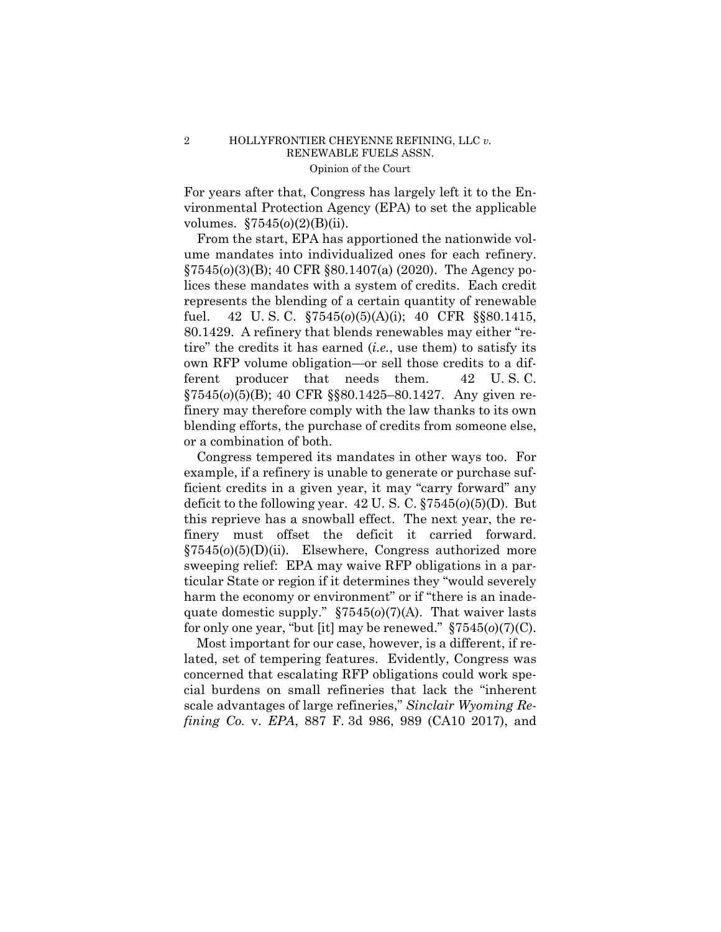For years after that, Congress has largely left it to the Environmental Protection Agency (EPA) to set the applicable volumes. §7545(*o*)(2)(B)(ii).

From the start, EPA has apportioned the nationwide volume mandates into individualized ones for each refinery. §7545(*o*)(3)(B); 40 CFR §80.1407(a) (2020). The Agency polices these mandates with a system of credits. Each credit represents the blending of a certain quantity of renewable fuel. 42 U. S. C. §7545(*o*)(5)(A)(i); 40 CFR §§80.1415, 80.1429. A refinery that blends renewables may either "retire" the credits it has earned (*i.e.*, use them) to satisfy its own RFP volume obligation—or sell those credits to a different producer that needs them. 42 U. S. C. §7545(*o*)(5)(B); 40 CFR §§80.1425–80.1427. Any given refinery may therefore comply with the law thanks to its own blending efforts, the purchase of credits from someone else, or a combination of both.

finery must offset the deficit it carried forward. Congress tempered its mandates in other ways too. For example, if a refinery is unable to generate or purchase sufficient credits in a given year, it may "carry forward" any deficit to the following year. 42 U. S. C. §7545(*o*)(5)(D). But this reprieve has a snowball effect. The next year, the re- $$7545(o)(5)(D)(ii)$ . Elsewhere, Congress authorized more sweeping relief: EPA may waive RFP obligations in a particular State or region if it determines they "would severely harm the economy or environment" or if "there is an inadequate domestic supply." §7545(*o*)(7)(A). That waiver lasts for only one year, "but [it] may be renewed." §7545(*o*)(7)(C).

Most important for our case, however, is a different, if related, set of tempering features. Evidently, Congress was concerned that escalating RFP obligations could work special burdens on small refineries that lack the "inherent scale advantages of large refineries," *Sinclair Wyoming Refining Co.* v. *EPA*, 887 F. 3d 986, 989 (CA10 2017), and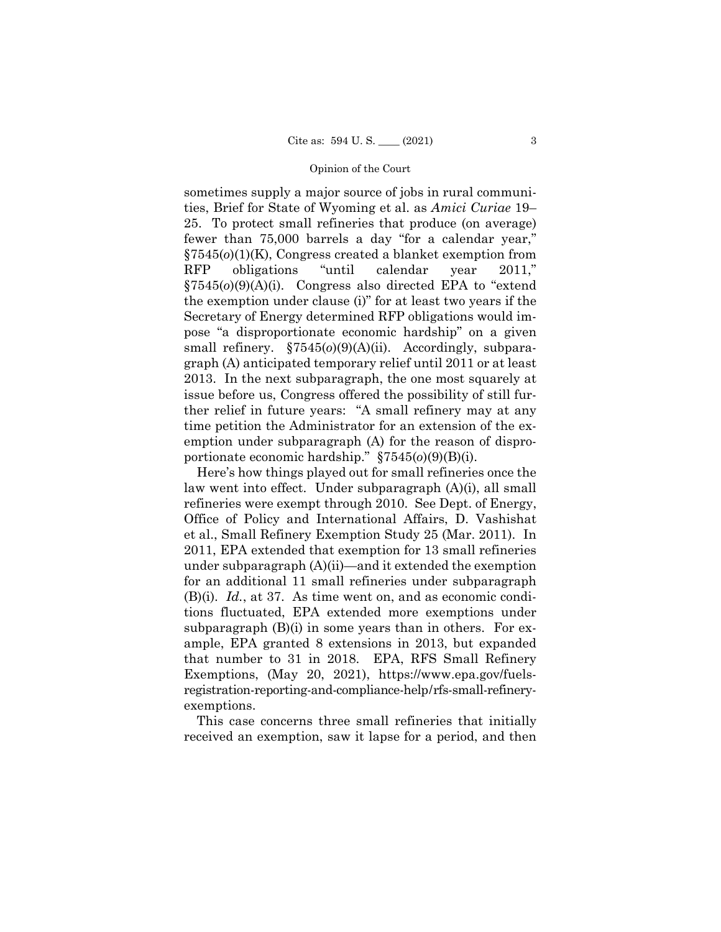sometimes supply a major source of jobs in rural communities, Brief for State of Wyoming et al. as *Amici Curiae* 19– 25. To protect small refineries that produce (on average) fewer than 75,000 barrels a day "for a calendar year," §7545(*o*)(1)(K), Congress created a blanket exemption from RFP obligations "until calendar year 2011," §7545(*o*)(9)(A)(i). Congress also directed EPA to "extend the exemption under clause (i)" for at least two years if the Secretary of Energy determined RFP obligations would impose "a disproportionate economic hardship" on a given small refinery.  $\S7545(0)(9)(A)(ii)$ . Accordingly, subparagraph (A) anticipated temporary relief until 2011 or at least 2013. In the next subparagraph, the one most squarely at issue before us, Congress offered the possibility of still further relief in future years: "A small refinery may at any time petition the Administrator for an extension of the exemption under subparagraph (A) for the reason of disproportionate economic hardship." §7545(*o*)(9)(B)(i).

 that number to 31 in 2018. EPA, RFS Small Refinery Exemptions, (May 20, 2021), https://www.epa.gov/fuels- registration-reporting-and-compliance-help/rfs-small-refinery-Here's how things played out for small refineries once the law went into effect. Under subparagraph (A)(i), all small refineries were exempt through 2010. See Dept. of Energy, Office of Policy and International Affairs, D. Vashishat et al., Small Refinery Exemption Study 25 (Mar. 2011). In 2011, EPA extended that exemption for 13 small refineries under subparagraph (A)(ii)—and it extended the exemption for an additional 11 small refineries under subparagraph (B)(i). *Id.*, at 37. As time went on, and as economic conditions fluctuated, EPA extended more exemptions under subparagraph (B)(i) in some years than in others. For example, EPA granted 8 extensions in 2013, but expanded exemptions.

This case concerns three small refineries that initially received an exemption, saw it lapse for a period, and then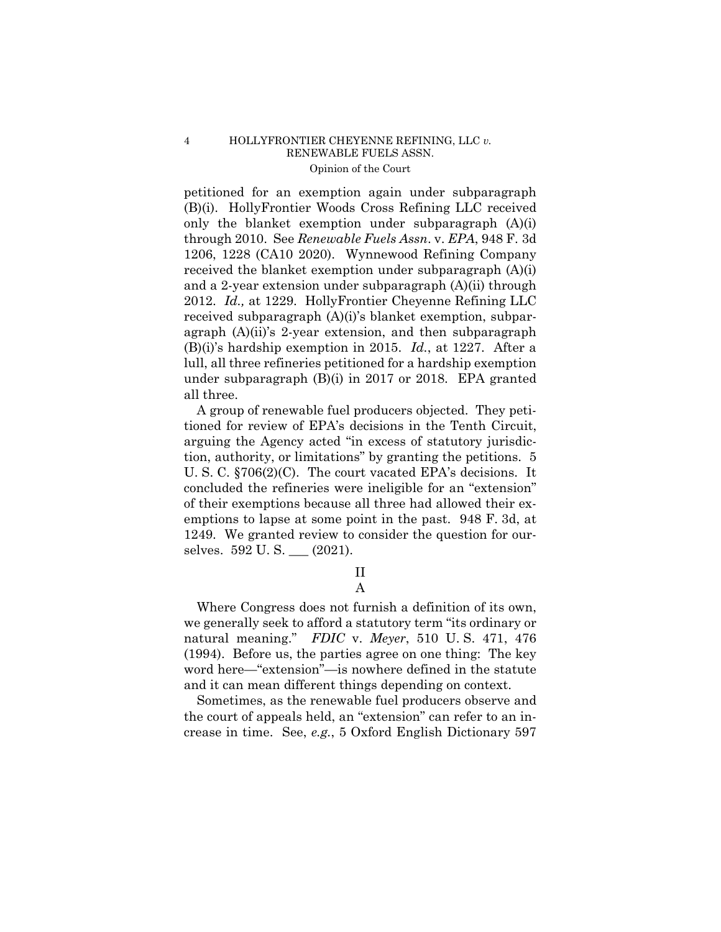under subparagraph (B)(i) in 2017 or 2018. EPA granted petitioned for an exemption again under subparagraph (B)(i). HollyFrontier Woods Cross Refining LLC received only the blanket exemption under subparagraph (A)(i) through 2010. See *Renewable Fuels Assn*. v. *EPA*, 948 F. 3d 1206, 1228 (CA10 2020). Wynnewood Refining Company received the blanket exemption under subparagraph (A)(i) and a 2-year extension under subparagraph (A)(ii) through 2012. *Id.,* at 1229. HollyFrontier Cheyenne Refining LLC received subparagraph (A)(i)'s blanket exemption, subparagraph (A)(ii)'s 2-year extension, and then subparagraph (B)(i)'s hardship exemption in 2015. *Id.*, at 1227. After a lull, all three refineries petitioned for a hardship exemption all three.

A group of renewable fuel producers objected. They petitioned for review of EPA's decisions in the Tenth Circuit, arguing the Agency acted "in excess of statutory jurisdiction, authority, or limitations" by granting the petitions. 5 U. S. C. §706(2)(C). The court vacated EPA's decisions. It concluded the refineries were ineligible for an "extension" of their exemptions because all three had allowed their exemptions to lapse at some point in the past. 948 F. 3d, at 1249. We granted review to consider the question for ourselves. 592 U. S. \_\_\_ (2021).

# II A

Where Congress does not furnish a definition of its own, we generally seek to afford a statutory term "its ordinary or natural meaning." *FDIC* v. *Meyer*, 510 U. S. 471, 476 (1994). Before us, the parties agree on one thing: The key word here—"extension"—is nowhere defined in the statute and it can mean different things depending on context.

Sometimes, as the renewable fuel producers observe and the court of appeals held, an "extension" can refer to an increase in time. See, *e.g.*, 5 Oxford English Dictionary 597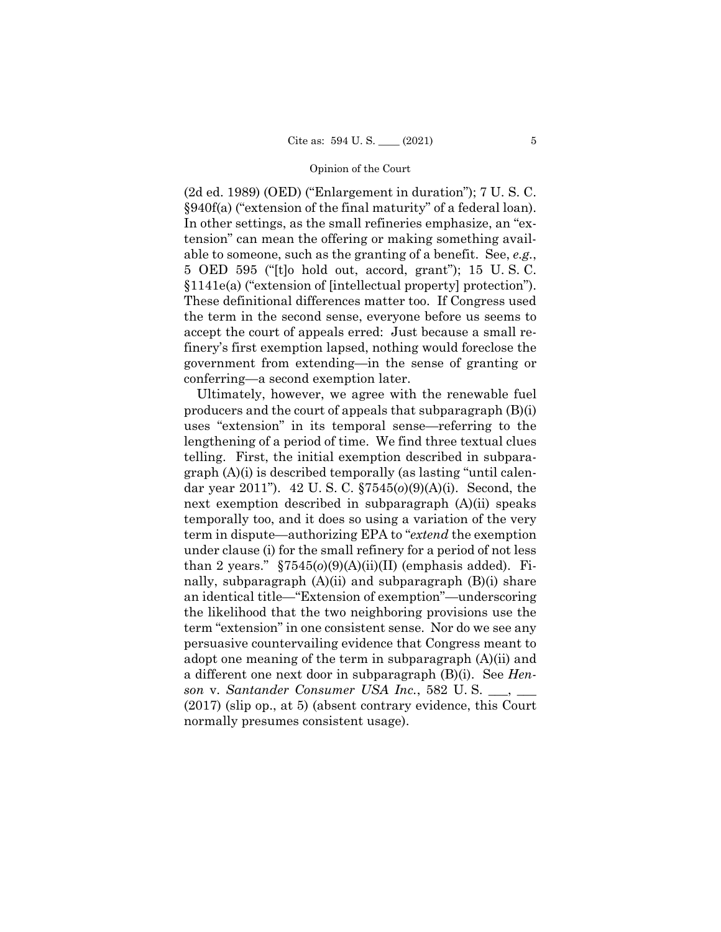(2d ed. 1989) (OED) ("Enlargement in duration"); 7 U. S. C. §940f(a) ("extension of the final maturity" of a federal loan). In other settings, as the small refineries emphasize, an "extension" can mean the offering or making something available to someone, such as the granting of a benefit. See, *e.g.*, 5 OED 595 ("[t]o hold out, accord, grant"); 15 U. S. C. §1141e(a) ("extension of [intellectual property] protection"). These definitional differences matter too. If Congress used the term in the second sense, everyone before us seems to accept the court of appeals erred: Just because a small refinery's first exemption lapsed, nothing would foreclose the government from extending—in the sense of granting or conferring—a second exemption later.

Ultimately, however, we agree with the renewable fuel producers and the court of appeals that subparagraph (B)(i) uses "extension" in its temporal sense—referring to the lengthening of a period of time. We find three textual clues telling. First, the initial exemption described in subparagraph (A)(i) is described temporally (as lasting "until calendar year 2011"). 42 U. S. C. §7545(*o*)(9)(A)(i). Second, the next exemption described in subparagraph (A)(ii) speaks temporally too, and it does so using a variation of the very term in dispute—authorizing EPA to "*extend* the exemption under clause (i) for the small refinery for a period of not less than 2 years."  $\S 7545(0)(9)(A)(ii)(II)$  (emphasis added). Finally, subparagraph (A)(ii) and subparagraph (B)(i) share an identical title—"Extension of exemption"—underscoring the likelihood that the two neighboring provisions use the term "extension" in one consistent sense. Nor do we see any persuasive countervailing evidence that Congress meant to adopt one meaning of the term in subparagraph (A)(ii) and a different one next door in subparagraph (B)(i). See *Henson* v. *Santander Consumer USA Inc.*, 582 U. S. \_\_\_, \_\_\_ (2017) (slip op., at 5) (absent contrary evidence, this Court normally presumes consistent usage).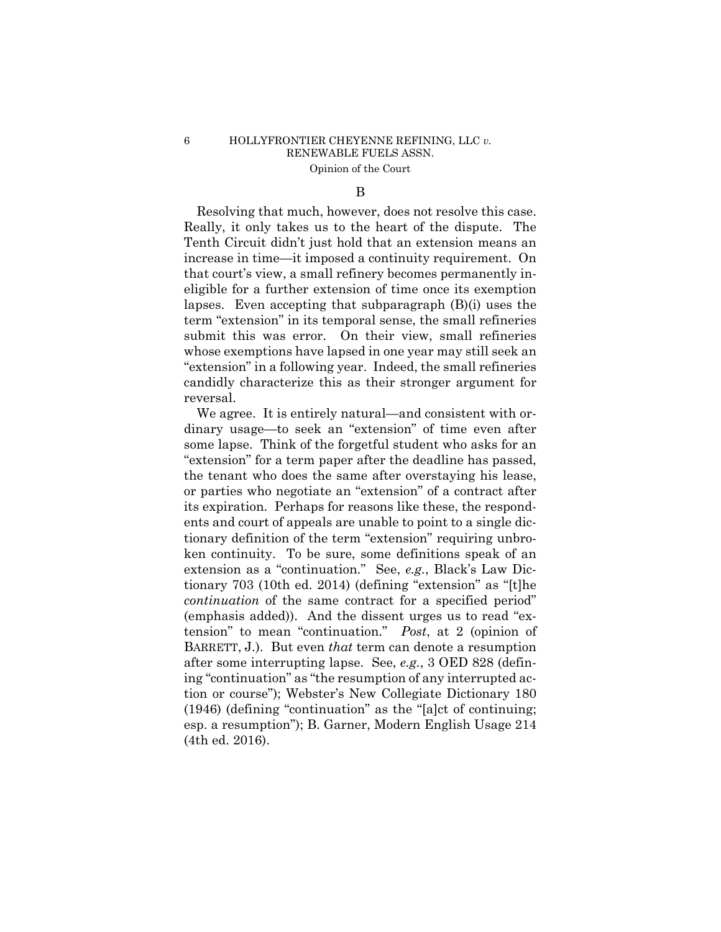### B

Resolving that much, however, does not resolve this case. Really, it only takes us to the heart of the dispute. The Tenth Circuit didn't just hold that an extension means an increase in time—it imposed a continuity requirement. On that court's view, a small refinery becomes permanently ineligible for a further extension of time once its exemption lapses. Even accepting that subparagraph (B)(i) uses the term "extension" in its temporal sense, the small refineries submit this was error. On their view, small refineries whose exemptions have lapsed in one year may still seek an "extension" in a following year. Indeed, the small refineries candidly characterize this as their stronger argument for reversal.

We agree. It is entirely natural—and consistent with ordinary usage—to seek an "extension" of time even after some lapse. Think of the forgetful student who asks for an "extension" for a term paper after the deadline has passed, the tenant who does the same after overstaying his lease, or parties who negotiate an "extension" of a contract after its expiration. Perhaps for reasons like these, the respondents and court of appeals are unable to point to a single dictionary definition of the term "extension" requiring unbroken continuity. To be sure, some definitions speak of an extension as a "continuation." See, *e.g.*, Black's Law Dictionary 703 (10th ed. 2014) (defining "extension" as "[t]he *continuation* of the same contract for a specified period" (emphasis added)). And the dissent urges us to read "extension" to mean "continuation." *Post*, at 2 (opinion of BARRETT, J.). But even *that* term can denote a resumption after some interrupting lapse. See, *e.g.*, 3 OED 828 (defining "continuation" as "the resumption of any interrupted action or course"); Webster's New Collegiate Dictionary 180 (1946) (defining "continuation" as the "[a]ct of continuing; esp. a resumption"); B. Garner, Modern English Usage 214 (4th ed. 2016).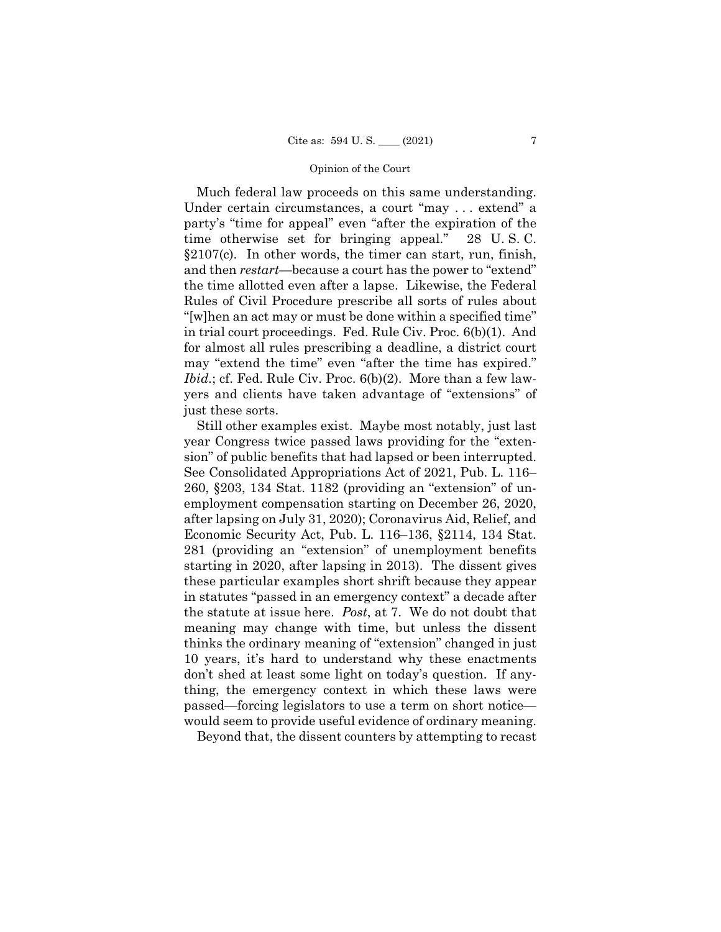Much federal law proceeds on this same understanding. Under certain circumstances, a court "may . . . extend" a party's "time for appeal" even "after the expiration of the time otherwise set for bringing appeal." 28 U. S. C. §2107(c). In other words, the timer can start, run, finish, and then *restart*—because a court has the power to "extend" the time allotted even after a lapse. Likewise, the Federal Rules of Civil Procedure prescribe all sorts of rules about "[w]hen an act may or must be done within a specified time" in trial court proceedings. Fed. Rule Civ. Proc. 6(b)(1). And for almost all rules prescribing a deadline, a district court may "extend the time" even "after the time has expired." *Ibid.*; cf. Fed. Rule Civ. Proc. 6(b)(2). More than a few lawyers and clients have taken advantage of "extensions" of just these sorts.

 sion" of public benefits that had lapsed or been interrupted. Still other examples exist. Maybe most notably, just last year Congress twice passed laws providing for the "exten-See Consolidated Appropriations Act of 2021, Pub. L. 116– 260, §203, 134 Stat. 1182 (providing an "extension" of unemployment compensation starting on December 26, 2020, after lapsing on July 31, 2020); Coronavirus Aid, Relief, and Economic Security Act, Pub. L. 116–136, §2114, 134 Stat. 281 (providing an "extension" of unemployment benefits starting in 2020, after lapsing in 2013). The dissent gives these particular examples short shrift because they appear in statutes "passed in an emergency context" a decade after the statute at issue here. *Post*, at 7. We do not doubt that meaning may change with time, but unless the dissent thinks the ordinary meaning of "extension" changed in just 10 years, it's hard to understand why these enactments don't shed at least some light on today's question. If anything, the emergency context in which these laws were passed—forcing legislators to use a term on short notice would seem to provide useful evidence of ordinary meaning.

Beyond that, the dissent counters by attempting to recast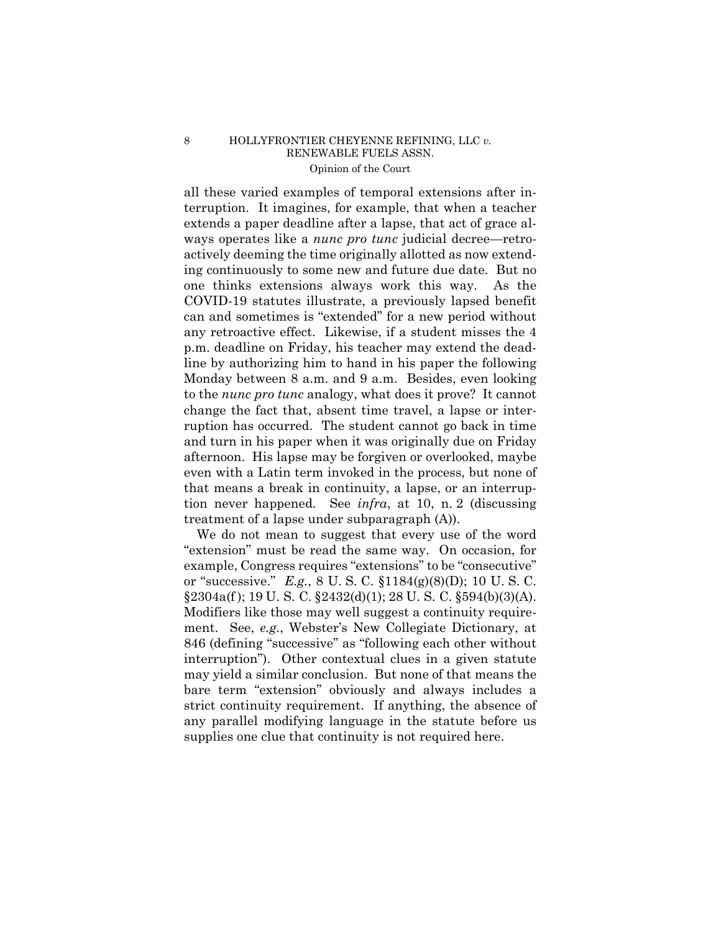all these varied examples of temporal extensions after interruption. It imagines, for example, that when a teacher extends a paper deadline after a lapse, that act of grace always operates like a *nunc pro tunc* judicial decree—retroactively deeming the time originally allotted as now extending continuously to some new and future due date. But no one thinks extensions always work this way. As the COVID-19 statutes illustrate, a previously lapsed benefit can and sometimes is "extended" for a new period without any retroactive effect. Likewise, if a student misses the 4 p.m. deadline on Friday, his teacher may extend the deadline by authorizing him to hand in his paper the following Monday between 8 a.m. and 9 a.m. Besides, even looking to the *nunc pro tunc* analogy, what does it prove? It cannot change the fact that, absent time travel, a lapse or interruption has occurred. The student cannot go back in time and turn in his paper when it was originally due on Friday afternoon. His lapse may be forgiven or overlooked, maybe even with a Latin term invoked in the process, but none of that means a break in continuity, a lapse, or an interruption never happened. See *infra*, at 10, n. 2 (discussing treatment of a lapse under subparagraph (A)).

 $$2304a(f); 19 U. S. C. $2432(d)(1); 28 U. S. C. $594(b)(3)(A).$ We do not mean to suggest that every use of the word "extension" must be read the same way. On occasion, for example, Congress requires "extensions" to be "consecutive" or "successive." *E.g.*, 8 U. S. C. §1184(g)(8)(D); 10 U. S. C. Modifiers like those may well suggest a continuity requirement. See, *e.g.*, Webster's New Collegiate Dictionary, at 846 (defining "successive" as "following each other without interruption"). Other contextual clues in a given statute may yield a similar conclusion. But none of that means the bare term "extension" obviously and always includes a strict continuity requirement. If anything, the absence of any parallel modifying language in the statute before us supplies one clue that continuity is not required here.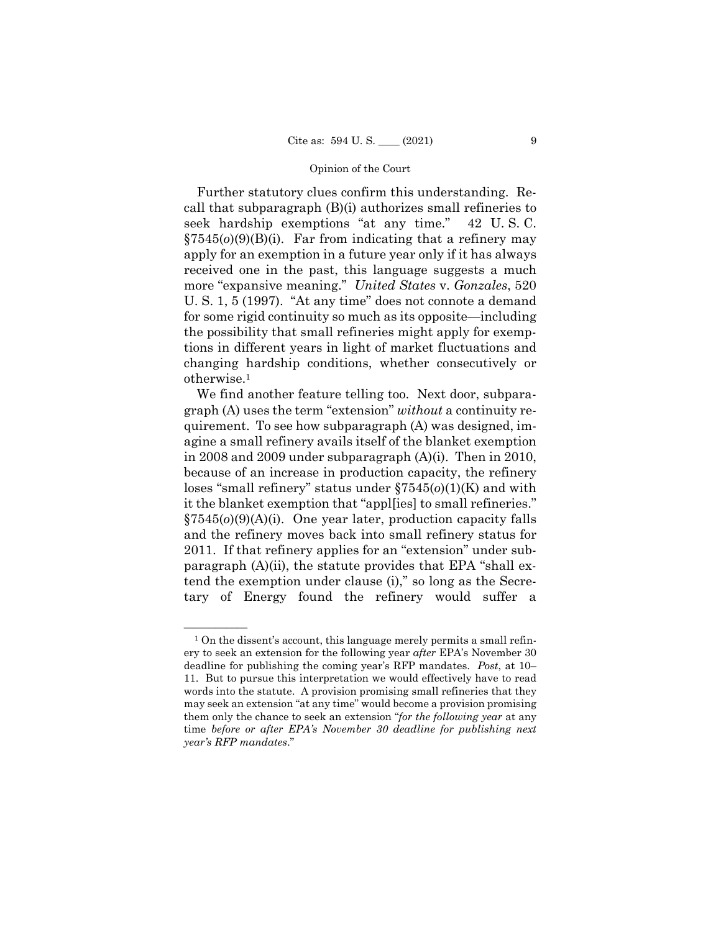Further statutory clues confirm this understanding. Recall that subparagraph (B)(i) authorizes small refineries to seek hardship exemptions "at any time." 42 U. S. C. §7545(*o*)(9)(B)(i). Far from indicating that a refinery may apply for an exemption in a future year only if it has always received one in the past, this language suggests a much more "expansive meaning." *United States* v. *Gonzales*, 520 U. S. 1, 5 (1997). "At any time" does not connote a demand for some rigid continuity so much as its opposite—including the possibility that small refineries might apply for exemptions in different years in light of market fluctuations and changing hardship conditions, whether consecutively or otherwise.1

We find another feature telling too. Next door, subparagraph (A) uses the term "extension" *without* a continuity requirement. To see how subparagraph (A) was designed, imagine a small refinery avails itself of the blanket exemption in 2008 and 2009 under subparagraph (A)(i). Then in 2010, because of an increase in production capacity, the refinery loses "small refinery" status under §7545(*o*)(1)(K) and with it the blanket exemption that "appl[ies] to small refineries." §7545(*o*)(9)(A)(i). One year later, production capacity falls and the refinery moves back into small refinery status for 2011. If that refinery applies for an "extension" under subparagraph (A)(ii), the statute provides that EPA "shall extend the exemption under clause (i)," so long as the Secretary of Energy found the refinery would suffer a

 $<sup>1</sup>$  On the dissent's account, this language merely permits a small refin-</sup> ery to seek an extension for the following year *after* EPA's November 30 deadline for publishing the coming year's RFP mandates. *Post*, at 10– 11. But to pursue this interpretation we would effectively have to read words into the statute. A provision promising small refineries that they may seek an extension "at any time" would become a provision promising them only the chance to seek an extension "*for the following year* at any time *before or after EPA's November 30 deadline for publishing next year's RFP mandates*."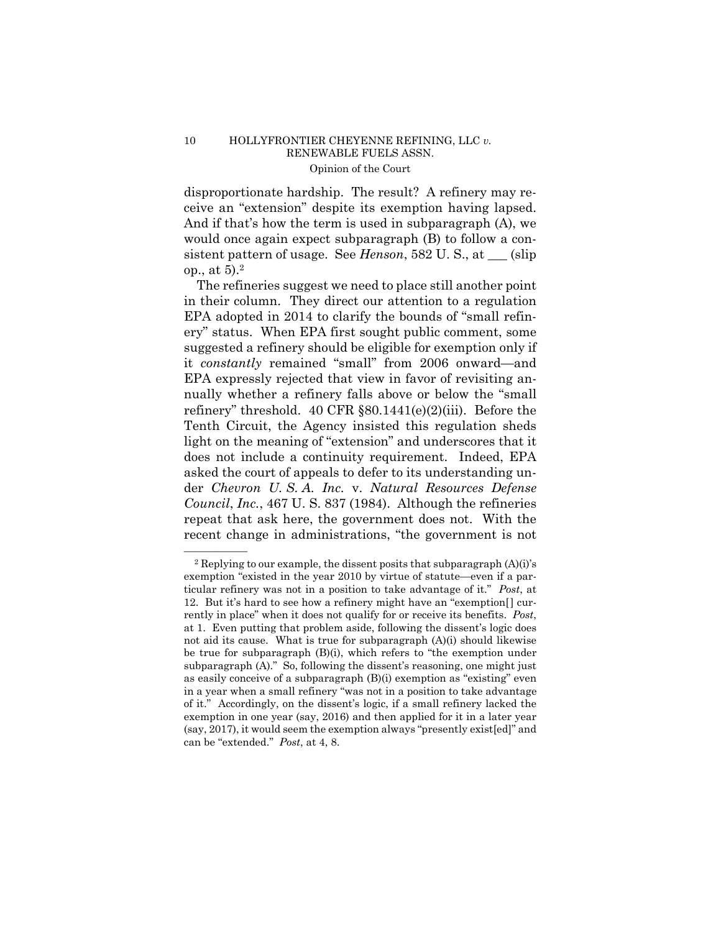disproportionate hardship. The result? A refinery may receive an "extension" despite its exemption having lapsed. And if that's how the term is used in subparagraph (A), we would once again expect subparagraph (B) to follow a consistent pattern of usage. See *Henson*, 582 U.S., at (slip) op., at 5).2

The refineries suggest we need to place still another point in their column. They direct our attention to a regulation EPA adopted in 2014 to clarify the bounds of "small refinery" status. When EPA first sought public comment, some suggested a refinery should be eligible for exemption only if it *constantly* remained "small" from 2006 onward—and EPA expressly rejected that view in favor of revisiting annually whether a refinery falls above or below the "small refinery" threshold. 40 CFR §80.1441(e)(2)(iii). Before the Tenth Circuit, the Agency insisted this regulation sheds light on the meaning of "extension" and underscores that it does not include a continuity requirement. Indeed, EPA asked the court of appeals to defer to its understanding under *Chevron U. S. A. Inc.* v. *Natural Resources Defense Council*, *Inc.*, 467 U. S. 837 (1984). Although the refineries repeat that ask here, the government does not. With the recent change in administrations, "the government is not

 $2$  Replying to our example, the dissent posits that subparagraph  $(A)(i)$ 's exemption "existed in the year 2010 by virtue of statute—even if a particular refinery was not in a position to take advantage of it." *Post*, at 12. But it's hard to see how a refinery might have an "exemption[] currently in place" when it does not qualify for or receive its benefits. *Post*, at 1. Even putting that problem aside, following the dissent's logic does not aid its cause. What is true for subparagraph (A)(i) should likewise be true for subparagraph (B)(i), which refers to "the exemption under subparagraph (A)." So, following the dissent's reasoning, one might just as easily conceive of a subparagraph (B)(i) exemption as "existing" even in a year when a small refinery "was not in a position to take advantage of it." Accordingly, on the dissent's logic, if a small refinery lacked the exemption in one year (say, 2016) and then applied for it in a later year (say, 2017), it would seem the exemption always "presently exist[ed]" and can be "extended." *Post*, at 4, 8.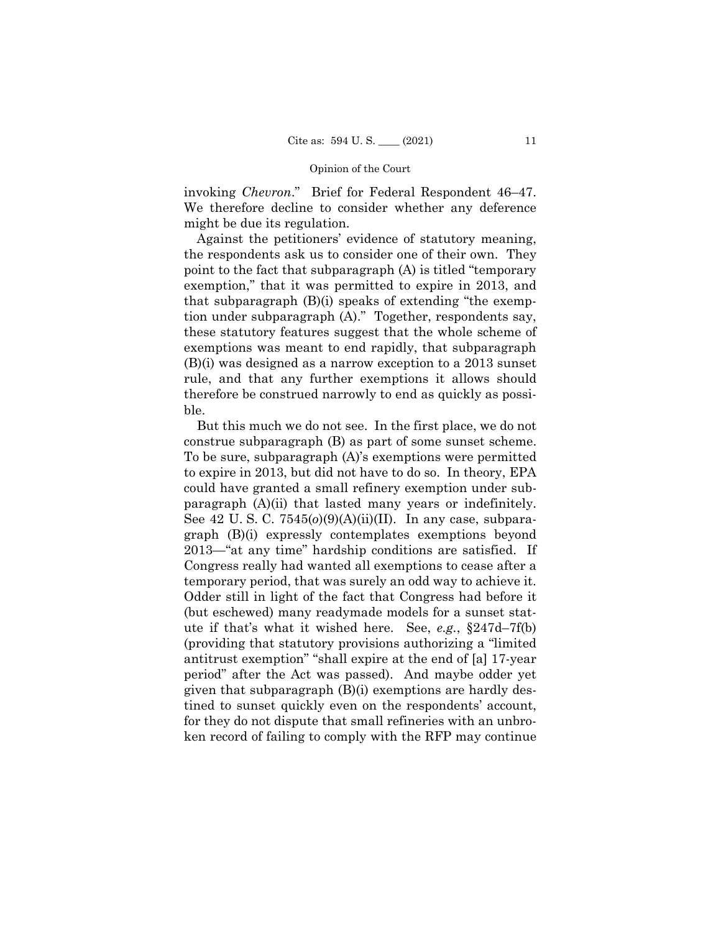invoking *Chevron*." Brief for Federal Respondent 46–47. We therefore decline to consider whether any deference might be due its regulation.

Against the petitioners' evidence of statutory meaning, the respondents ask us to consider one of their own. They point to the fact that subparagraph (A) is titled "temporary exemption," that it was permitted to expire in 2013, and that subparagraph (B)(i) speaks of extending "the exemption under subparagraph (A)." Together, respondents say, these statutory features suggest that the whole scheme of exemptions was meant to end rapidly, that subparagraph (B)(i) was designed as a narrow exception to a 2013 sunset rule, and that any further exemptions it allows should therefore be construed narrowly to end as quickly as possible.

 construe subparagraph (B) as part of some sunset scheme. paragraph (A)(ii) that lasted many years or indefinitely. temporary period, that was surely an odd way to achieve it. But this much we do not see. In the first place, we do not To be sure, subparagraph (A)'s exemptions were permitted to expire in 2013, but did not have to do so. In theory, EPA could have granted a small refinery exemption under sub-See 42 U. S. C. 7545(*o*)(9)(A)(ii)(II). In any case, subparagraph (B)(i) expressly contemplates exemptions beyond 2013—"at any time" hardship conditions are satisfied. If Congress really had wanted all exemptions to cease after a Odder still in light of the fact that Congress had before it (but eschewed) many readymade models for a sunset statute if that's what it wished here. See, *e.g.*, §247d–7f(b) (providing that statutory provisions authorizing a "limited antitrust exemption" "shall expire at the end of [a] 17-year period" after the Act was passed). And maybe odder yet given that subparagraph (B)(i) exemptions are hardly destined to sunset quickly even on the respondents' account, for they do not dispute that small refineries with an unbroken record of failing to comply with the RFP may continue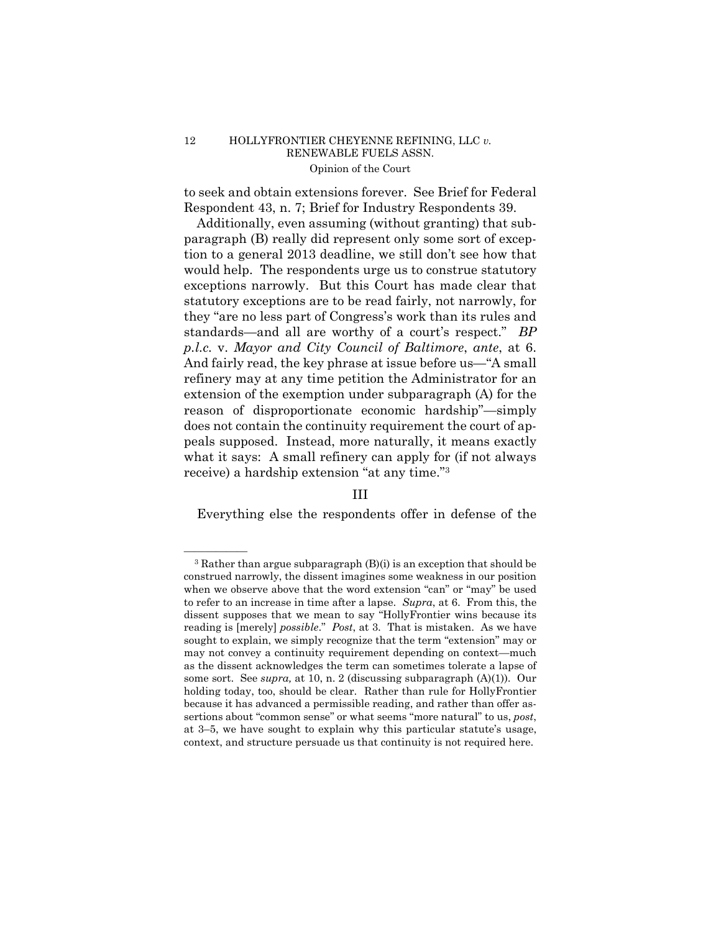to seek and obtain extensions forever. See Brief for Federal Respondent 43, n. 7; Brief for Industry Respondents 39.

 *p.l.c.* v. *Mayor and City Council of Baltimore*, *ante*, at 6. And fairly read, the key phrase at issue before us—"A small Additionally, even assuming (without granting) that subparagraph (B) really did represent only some sort of exception to a general 2013 deadline, we still don't see how that would help. The respondents urge us to construe statutory exceptions narrowly. But this Court has made clear that statutory exceptions are to be read fairly, not narrowly, for they "are no less part of Congress's work than its rules and standards—and all are worthy of a court's respect." *BP*  refinery may at any time petition the Administrator for an extension of the exemption under subparagraph (A) for the reason of disproportionate economic hardship"—simply does not contain the continuity requirement the court of appeals supposed. Instead, more naturally, it means exactly what it says: A small refinery can apply for (if not always receive) a hardship extension "at any time."3

# III

Everything else the respondents offer in defense of the

 to refer to an increase in time after a lapse. *Supra*, at 6. From this, the reading is [merely] *possible*." *Post*, at 3. That is mistaken. As we have  $3$  Rather than argue subparagraph  $(B)(i)$  is an exception that should be construed narrowly, the dissent imagines some weakness in our position when we observe above that the word extension "can" or "may" be used dissent supposes that we mean to say "HollyFrontier wins because its sought to explain, we simply recognize that the term "extension" may or may not convey a continuity requirement depending on context—much as the dissent acknowledges the term can sometimes tolerate a lapse of some sort. See *supra,* at 10, n. 2 (discussing subparagraph (A)(1)). Our holding today, too, should be clear. Rather than rule for HollyFrontier because it has advanced a permissible reading, and rather than offer assertions about "common sense" or what seems "more natural" to us, *post*, at 3–5, we have sought to explain why this particular statute's usage, context, and structure persuade us that continuity is not required here.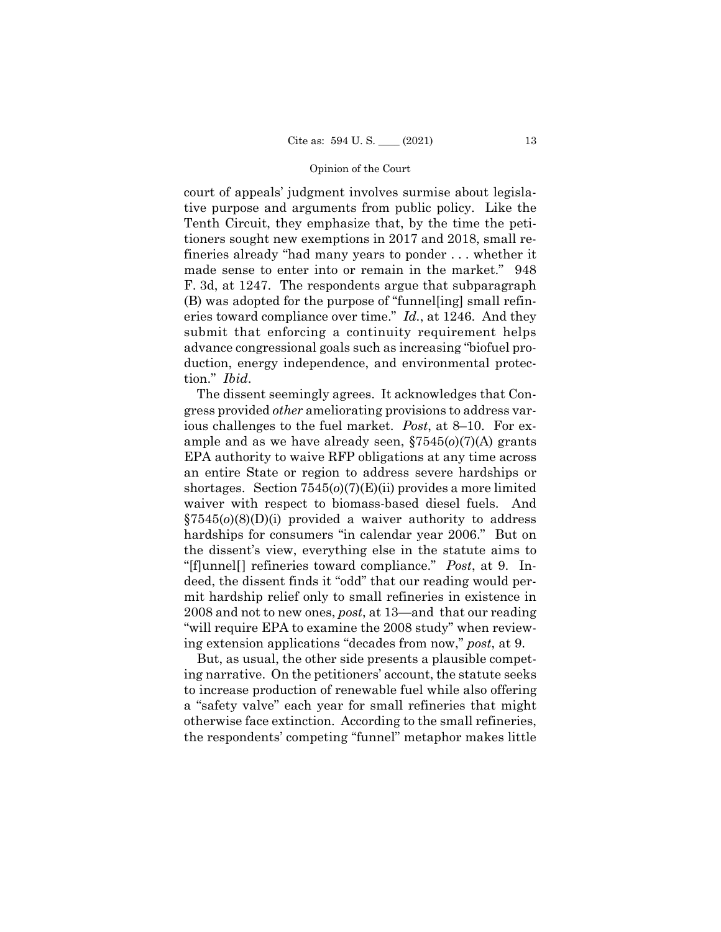eries toward compliance over time." *Id.*, at 1246. And they court of appeals' judgment involves surmise about legislative purpose and arguments from public policy. Like the Tenth Circuit, they emphasize that, by the time the petitioners sought new exemptions in 2017 and 2018, small refineries already "had many years to ponder . . . whether it made sense to enter into or remain in the market." 948 F. 3d, at 1247. The respondents argue that subparagraph (B) was adopted for the purpose of "funnel[ing] small refinsubmit that enforcing a continuity requirement helps advance congressional goals such as increasing "biofuel production, energy independence, and environmental protection." *Ibid*.

The dissent seemingly agrees. It acknowledges that Congress provided *other* ameliorating provisions to address various challenges to the fuel market. *Post*, at 8–10. For example and as we have already seen, §7545(*o*)(7)(A) grants EPA authority to waive RFP obligations at any time across an entire State or region to address severe hardships or shortages. Section 7545(*o*)(7)(E)(ii) provides a more limited waiver with respect to biomass-based diesel fuels. And §7545(*o*)(8)(D)(i) provided a waiver authority to address hardships for consumers "in calendar year 2006." But on the dissent's view, everything else in the statute aims to "[f]unnel[] refineries toward compliance." *Post*, at 9. Indeed, the dissent finds it "odd" that our reading would permit hardship relief only to small refineries in existence in 2008 and not to new ones, *post*, at 13—and that our reading "will require EPA to examine the 2008 study" when reviewing extension applications "decades from now," *post*, at 9.

But, as usual, the other side presents a plausible competing narrative. On the petitioners' account, the statute seeks to increase production of renewable fuel while also offering a "safety valve" each year for small refineries that might otherwise face extinction. According to the small refineries, the respondents' competing "funnel" metaphor makes little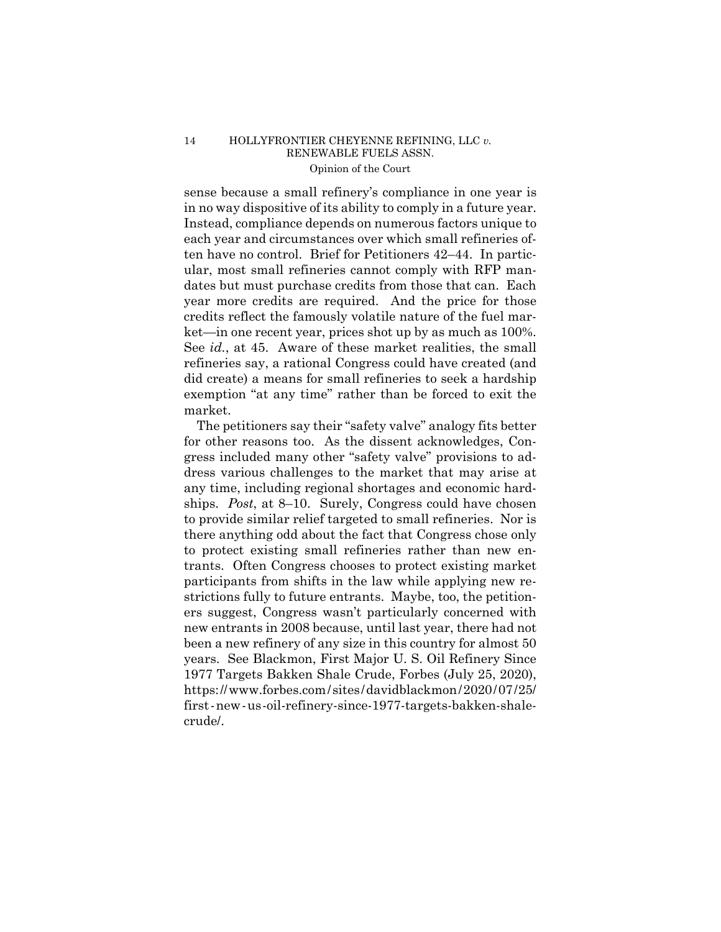ket—in one recent year, prices shot up by as much as 100%. sense because a small refinery's compliance in one year is in no way dispositive of its ability to comply in a future year. Instead, compliance depends on numerous factors unique to each year and circumstances over which small refineries often have no control. Brief for Petitioners 42–44. In particular, most small refineries cannot comply with RFP mandates but must purchase credits from those that can. Each year more credits are required. And the price for those credits reflect the famously volatile nature of the fuel mar-See *id.*, at 45. Aware of these market realities, the small refineries say, a rational Congress could have created (and did create) a means for small refineries to seek a hardship exemption "at any time" rather than be forced to exit the market.

 https://www.forbes.com/sites/davidblackmon/2020/07/25/ first-new-us-oil-refinery-since-1977-targets-bakken-shale-The petitioners say their "safety valve" analogy fits better for other reasons too. As the dissent acknowledges, Congress included many other "safety valve" provisions to address various challenges to the market that may arise at any time, including regional shortages and economic hardships. *Post*, at 8–10. Surely, Congress could have chosen to provide similar relief targeted to small refineries. Nor is there anything odd about the fact that Congress chose only to protect existing small refineries rather than new entrants. Often Congress chooses to protect existing market participants from shifts in the law while applying new restrictions fully to future entrants. Maybe, too, the petitioners suggest, Congress wasn't particularly concerned with new entrants in 2008 because, until last year, there had not been a new refinery of any size in this country for almost 50 years. See Blackmon, First Major U. S. Oil Refinery Since 1977 Targets Bakken Shale Crude, Forbes (July 25, 2020), crude/.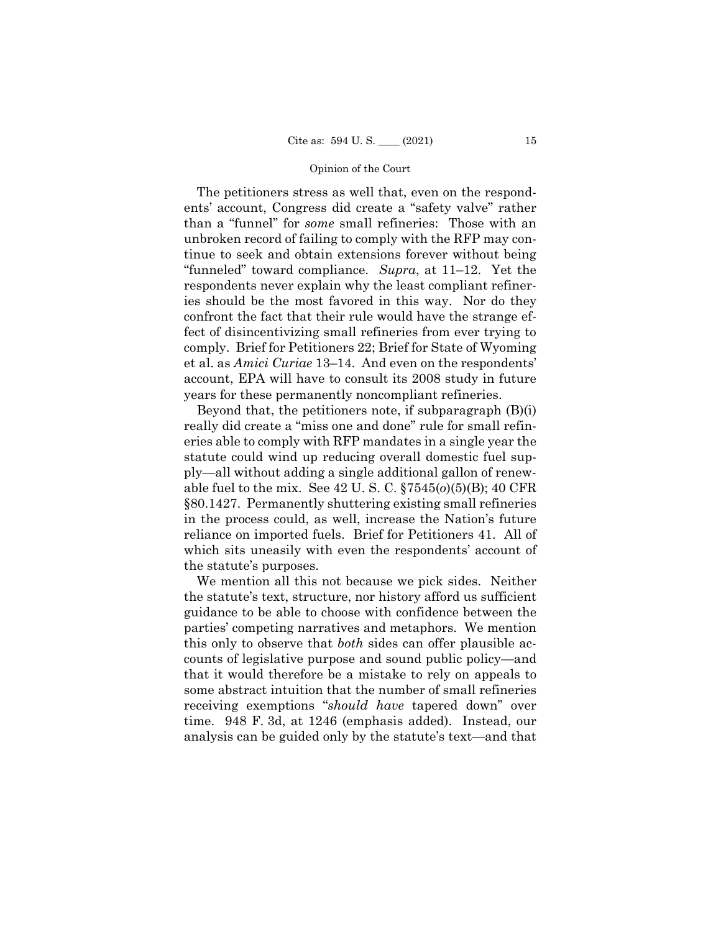The petitioners stress as well that, even on the respondents' account, Congress did create a "safety valve" rather than a "funnel" for *some* small refineries: Those with an unbroken record of failing to comply with the RFP may continue to seek and obtain extensions forever without being "funneled" toward compliance. *Supra*, at 11–12. Yet the respondents never explain why the least compliant refineries should be the most favored in this way. Nor do they confront the fact that their rule would have the strange effect of disincentivizing small refineries from ever trying to comply. Brief for Petitioners 22; Brief for State of Wyoming et al. as *Amici Curiae* 13–14. And even on the respondents' account, EPA will have to consult its 2008 study in future years for these permanently noncompliant refineries.

Beyond that, the petitioners note, if subparagraph (B)(i) really did create a "miss one and done" rule for small refineries able to comply with RFP mandates in a single year the statute could wind up reducing overall domestic fuel supply—all without adding a single additional gallon of renewable fuel to the mix. See 42 U. S. C. §7545(*o*)(5)(B); 40 CFR §80.1427. Permanently shuttering existing small refineries in the process could, as well, increase the Nation's future reliance on imported fuels. Brief for Petitioners 41. All of which sits uneasily with even the respondents' account of the statute's purposes.

We mention all this not because we pick sides. Neither the statute's text, structure, nor history afford us sufficient guidance to be able to choose with confidence between the parties' competing narratives and metaphors. We mention this only to observe that *both* sides can offer plausible accounts of legislative purpose and sound public policy—and that it would therefore be a mistake to rely on appeals to some abstract intuition that the number of small refineries receiving exemptions "*should have* tapered down" over time. 948 F. 3d, at 1246 (emphasis added). Instead, our analysis can be guided only by the statute's text—and that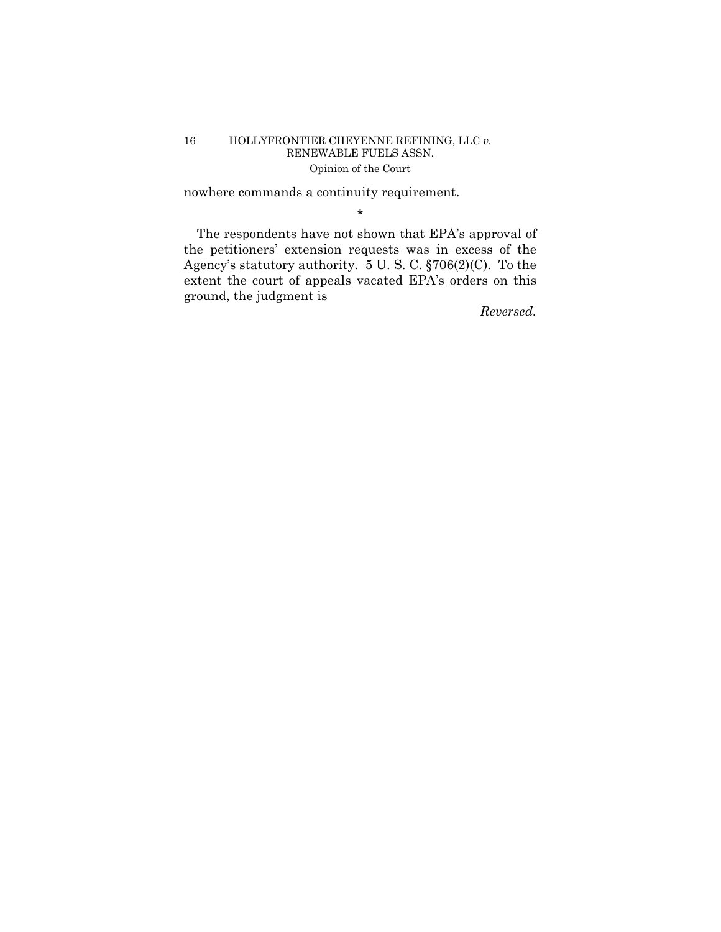nowhere commands a continuity requirement.

\*

The respondents have not shown that EPA's approval of the petitioners' extension requests was in excess of the Agency's statutory authority. 5 U. S. C. §706(2)(C). To the extent the court of appeals vacated EPA's orders on this ground, the judgment is

*Reversed.*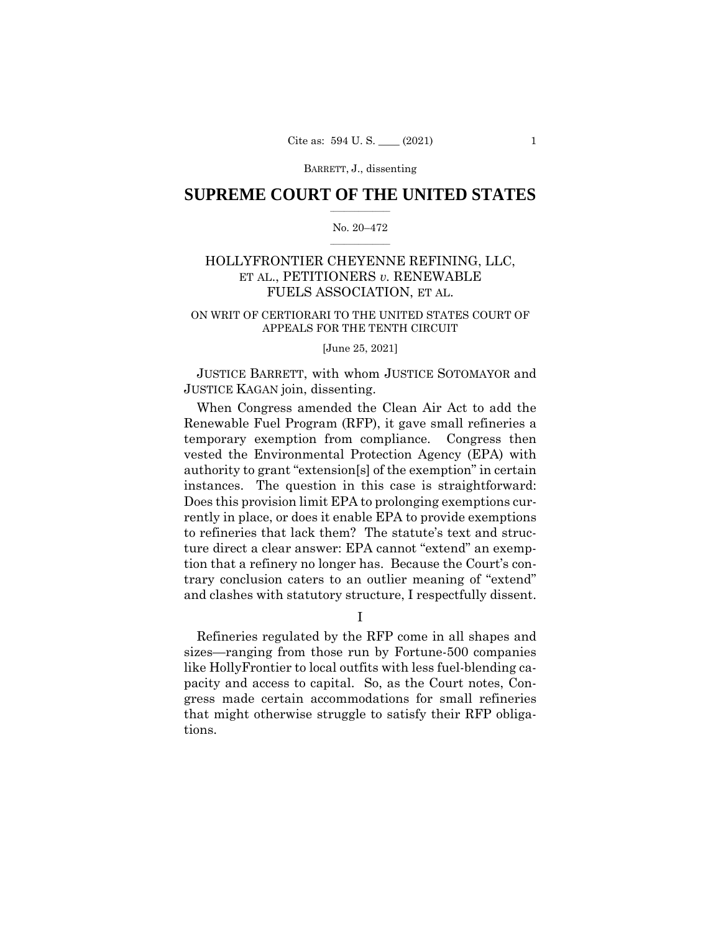# $\frac{1}{2}$  ,  $\frac{1}{2}$  ,  $\frac{1}{2}$  ,  $\frac{1}{2}$  ,  $\frac{1}{2}$  ,  $\frac{1}{2}$  ,  $\frac{1}{2}$ **SUPREME COURT OF THE UNITED STATES**

### $\frac{1}{2}$  ,  $\frac{1}{2}$  ,  $\frac{1}{2}$  ,  $\frac{1}{2}$  ,  $\frac{1}{2}$  ,  $\frac{1}{2}$ No. 20–472

# HOLLYFRONTIER CHEYENNE REFINING, LLC, ET AL., PETITIONERS *v.* RENEWABLE FUELS ASSOCIATION, ET AL.

# ON WRIT OF CERTIORARI TO THE UNITED STATES COURT OF APPEALS FOR THE TENTH CIRCUIT

### [June 25, 2021]

JUSTICE BARRETT, with whom JUSTICE SOTOMAYOR and JUSTICE KAGAN join, dissenting.

When Congress amended the Clean Air Act to add the Renewable Fuel Program (RFP), it gave small refineries a temporary exemption from compliance. Congress then vested the Environmental Protection Agency (EPA) with authority to grant "extension[s] of the exemption" in certain instances. The question in this case is straightforward: Does this provision limit EPA to prolonging exemptions currently in place, or does it enable EPA to provide exemptions to refineries that lack them? The statute's text and structure direct a clear answer: EPA cannot "extend" an exemption that a refinery no longer has. Because the Court's contrary conclusion caters to an outlier meaning of "extend" and clashes with statutory structure, I respectfully dissent.

I

Refineries regulated by the RFP come in all shapes and sizes—ranging from those run by Fortune-500 companies like HollyFrontier to local outfits with less fuel-blending capacity and access to capital. So, as the Court notes, Congress made certain accommodations for small refineries that might otherwise struggle to satisfy their RFP obligations.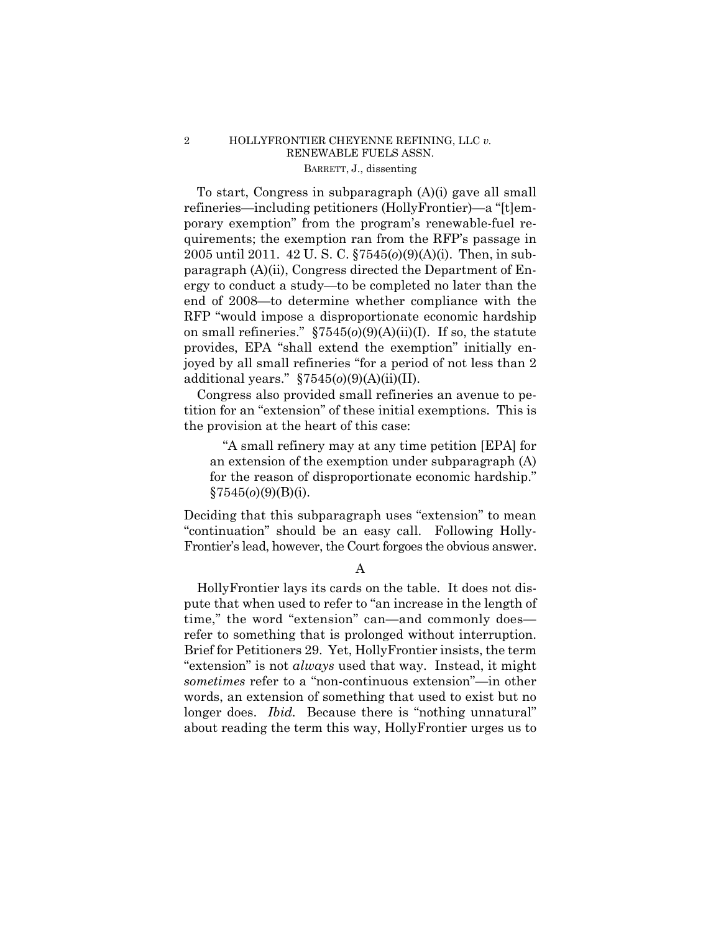# 2 HOLLYFRONTIER CHEYENNE REFINING, LLC *v.*  RENEWABLE FUELS ASSN. BARRETT, J., dissenting

To start, Congress in subparagraph (A)(i) gave all small refineries—including petitioners (HollyFrontier)—a "[t]emporary exemption" from the program's renewable-fuel requirements; the exemption ran from the RFP's passage in 2005 until 2011. 42 U. S. C. §7545(*o*)(9)(A)(i). Then, in subparagraph (A)(ii), Congress directed the Department of Energy to conduct a study—to be completed no later than the end of 2008—to determine whether compliance with the RFP "would impose a disproportionate economic hardship on small refineries." §7545(*o*)(9)(A)(ii)(I). If so, the statute provides, EPA "shall extend the exemption" initially enjoyed by all small refineries "for a period of not less than 2 additional years." §7545(*o*)(9)(A)(ii)(II).

Congress also provided small refineries an avenue to petition for an "extension" of these initial exemptions. This is the provision at the heart of this case:

"A small refinery may at any time petition [EPA] for an extension of the exemption under subparagraph (A) for the reason of disproportionate economic hardship." §7545(*o*)(9)(B)(i).

Deciding that this subparagraph uses "extension" to mean "continuation" should be an easy call. Following Holly-Frontier's lead, however, the Court forgoes the obvious answer.

A

HollyFrontier lays its cards on the table. It does not dispute that when used to refer to "an increase in the length of time," the word "extension" can—and commonly does refer to something that is prolonged without interruption. Brief for Petitioners 29. Yet, HollyFrontier insists, the term "extension" is not *always* used that way. Instead, it might *sometimes* refer to a "non-continuous extension"—in other words, an extension of something that used to exist but no longer does. *Ibid.* Because there is "nothing unnatural" about reading the term this way, HollyFrontier urges us to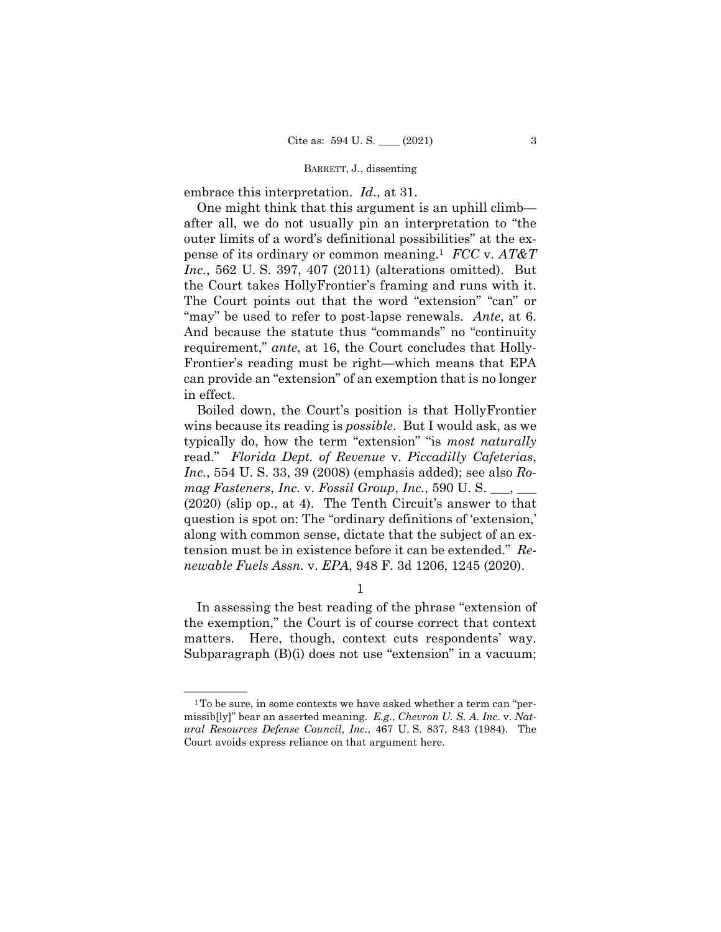embrace this interpretation. *Id.*, at 31.

 pense of its ordinary or common meaning.1 *FCC* v. *AT&T*  One might think that this argument is an uphill climb after all, we do not usually pin an interpretation to "the outer limits of a word's definitional possibilities" at the ex-*Inc.*, 562 U. S. 397, 407 (2011) (alterations omitted). But the Court takes HollyFrontier's framing and runs with it. The Court points out that the word "extension" "can" or "may" be used to refer to post-lapse renewals. *Ante*, at 6. And because the statute thus "commands" no "continuity requirement," *ante*, at 16, the Court concludes that Holly-Frontier's reading must be right—which means that EPA can provide an "extension" of an exemption that is no longer in effect.

Boiled down, the Court's position is that HollyFrontier wins because its reading is *possible*. But I would ask, as we typically do, how the term "extension" "is *most naturally*  read." *Florida Dept. of Revenue* v. *Piccadilly Cafeterias*, *Inc.*, 554 U. S. 33, 39 (2008) (emphasis added); see also *Romag Fasteners*, *Inc.* v. *Fossil Group*, *Inc.*, 590 U. S. \_\_\_, \_\_\_ (2020) (slip op., at 4). The Tenth Circuit's answer to that question is spot on: The "ordinary definitions of 'extension,' along with common sense, dictate that the subject of an extension must be in existence before it can be extended." *Renewable Fuels Assn.* v. *EPA*, 948 F. 3d 1206, 1245 (2020).

1

 matters. Here, though, context cuts respondents' way. In assessing the best reading of the phrase "extension of the exemption," the Court is of course correct that context Subparagraph (B)(i) does not use "extension" in a vacuum;

 missib[ly]" bear an asserted meaning. *E.g.*, *Chevron U. S. A. Inc.* v. *Nat-* $1$ <sup>1</sup> To be sure, in some contexts we have asked whether a term can "per*ural Resources Defense Council*, *Inc.*, 467 U. S. 837, 843 (1984). The Court avoids express reliance on that argument here.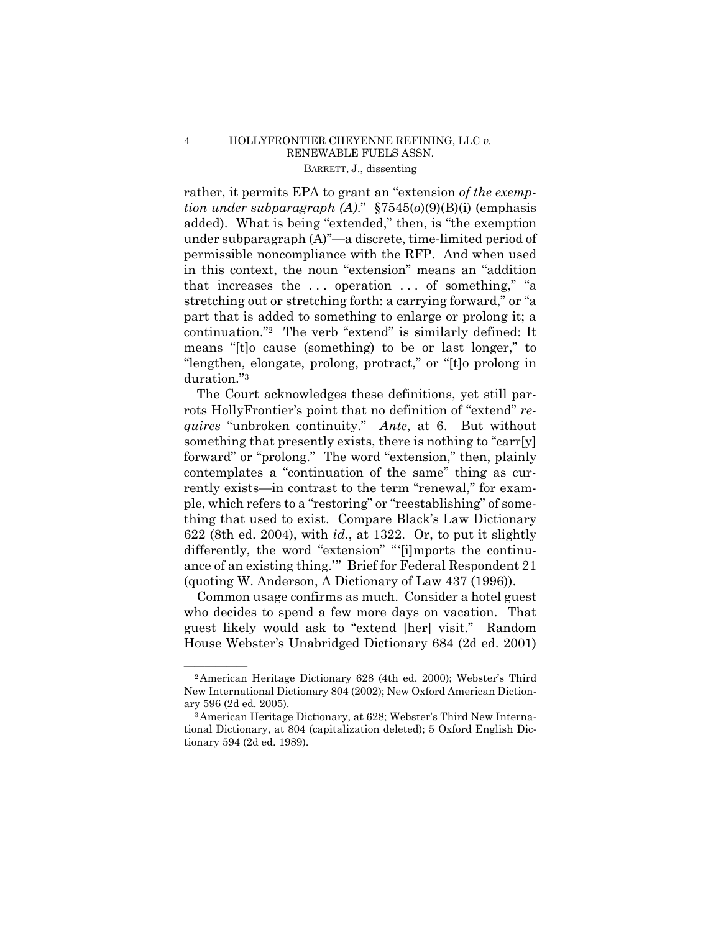# 4 HOLLYFRONTIER CHEYENNE REFINING, LLC *v.*  RENEWABLE FUELS ASSN. BARRETT, J., dissenting

rather, it permits EPA to grant an "extension *of the exemption under subparagraph (A)*." §7545(*o*)(9)(B)(i) (emphasis added). What is being "extended," then, is "the exemption under subparagraph (A)"—a discrete, time-limited period of permissible noncompliance with the RFP. And when used in this context, the noun "extension" means an "addition that increases the ... operation ... of something," "a stretching out or stretching forth: a carrying forward," or "a part that is added to something to enlarge or prolong it; a continuation."2 The verb "extend" is similarly defined: It means "[t]o cause (something) to be or last longer," to "lengthen, elongate, prolong, protract," or "[t]o prolong in duration."3

The Court acknowledges these definitions, yet still parrots HollyFrontier's point that no definition of "extend" *requires* "unbroken continuity." *Ante*, at 6. But without something that presently exists, there is nothing to "carr[y] forward" or "prolong." The word "extension," then, plainly contemplates a "continuation of the same" thing as currently exists—in contrast to the term "renewal," for example, which refers to a "restoring" or "reestablishing" of something that used to exist. Compare Black's Law Dictionary 622 (8th ed. 2004), with *id.*, at 1322. Or, to put it slightly differently, the word "extension" "'[i]mports the continuance of an existing thing.'" Brief for Federal Respondent 21 (quoting W. Anderson, A Dictionary of Law 437 (1996)).

Common usage confirms as much. Consider a hotel guest who decides to spend a few more days on vacation. That guest likely would ask to "extend [her] visit." Random House Webster's Unabridged Dictionary 684 (2d ed. 2001)

<sup>&</sup>lt;sup>2</sup> American Heritage Dictionary 628 (4th ed. 2000); Webster's Third New International Dictionary 804 (2002); New Oxford American Dictionary 596 (2d ed. 2005). 3American Heritage Dictionary, at 628; Webster's Third New Interna-

tional Dictionary, at 804 (capitalization deleted); 5 Oxford English Dictionary 594 (2d ed. 1989).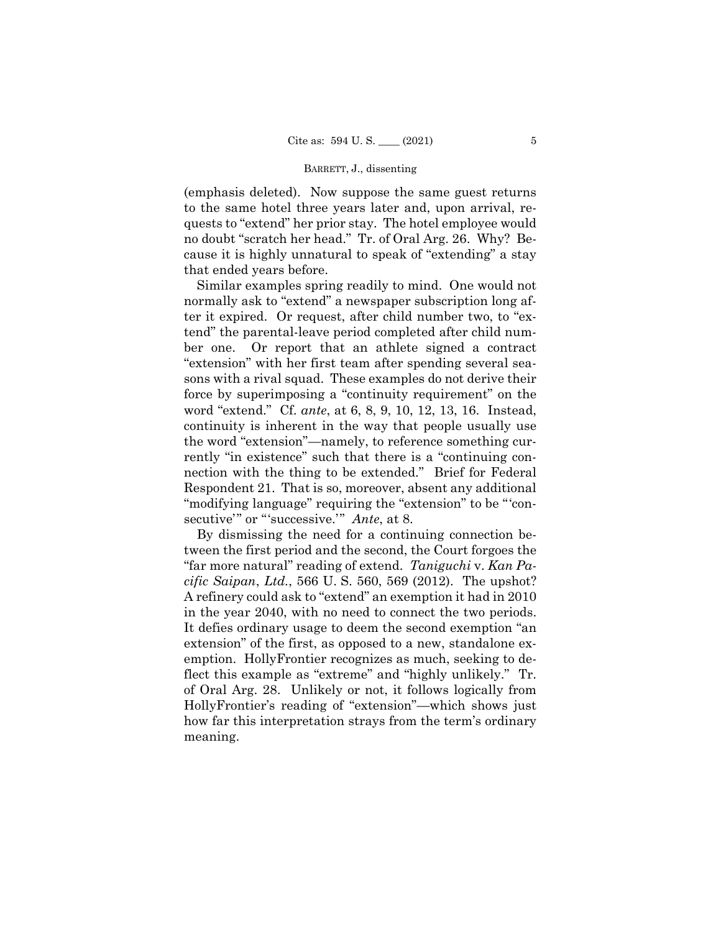(emphasis deleted). Now suppose the same guest returns to the same hotel three years later and, upon arrival, requests to "extend" her prior stay. The hotel employee would no doubt "scratch her head." Tr. of Oral Arg. 26. Why? Because it is highly unnatural to speak of "extending" a stay that ended years before.

Similar examples spring readily to mind. One would not normally ask to "extend" a newspaper subscription long after it expired. Or request, after child number two, to "extend" the parental-leave period completed after child number one. Or report that an athlete signed a contract "extension" with her first team after spending several seasons with a rival squad. These examples do not derive their force by superimposing a "continuity requirement" on the word "extend." Cf. *ante*, at 6, 8, 9, 10, 12, 13, 16. Instead, continuity is inherent in the way that people usually use the word "extension"—namely, to reference something currently "in existence" such that there is a "continuing connection with the thing to be extended." Brief for Federal Respondent 21. That is so, moreover, absent any additional "modifying language" requiring the "extension" to be "'consecutive'" or "'successive.'" *Ante*, at 8.

 in the year 2040, with no need to connect the two periods. By dismissing the need for a continuing connection between the first period and the second, the Court forgoes the "far more natural" reading of extend. *Taniguchi* v. *Kan Pacific Saipan*, *Ltd.*, 566 U. S. 560, 569 (2012). The upshot? A refinery could ask to "extend" an exemption it had in 2010 It defies ordinary usage to deem the second exemption "an extension" of the first, as opposed to a new, standalone exemption. HollyFrontier recognizes as much, seeking to deflect this example as "extreme" and "highly unlikely." Tr. of Oral Arg. 28. Unlikely or not, it follows logically from HollyFrontier's reading of "extension"—which shows just how far this interpretation strays from the term's ordinary meaning.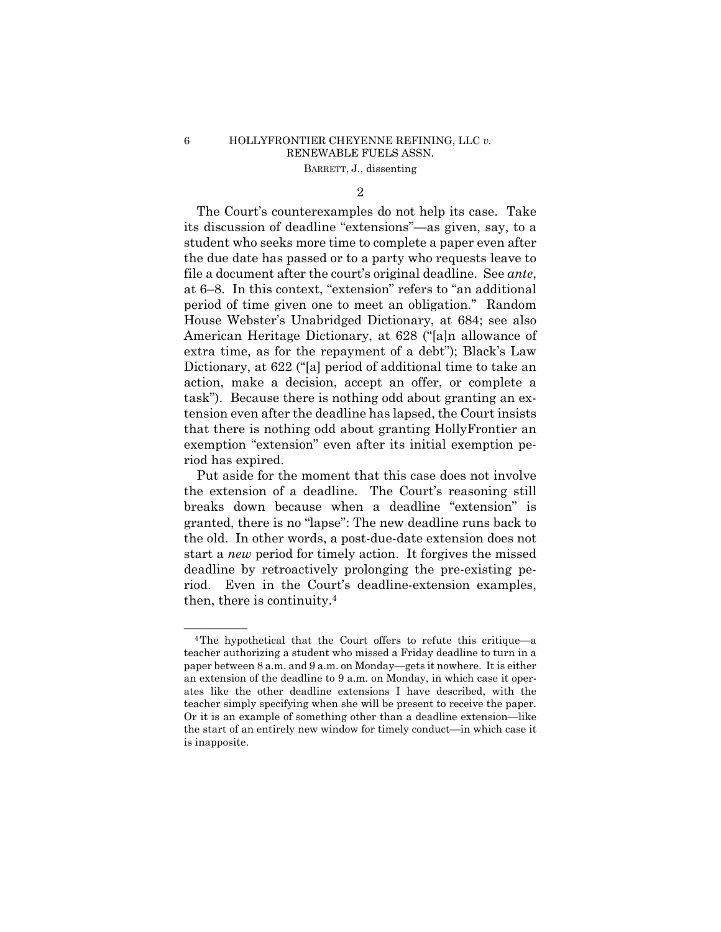# 6 HOLLYFRONTIER CHEYENNE REFINING, LLC *v.* RENEWABLE FUELS ASSN. BARRETT, J., dissenting

2

 The Court's counterexamples do not help its case. Take its discussion of deadline "extensions"—as given, say, to a student who seeks more time to complete a paper even after the due date has passed or to a party who requests leave to file a document after the court's original deadline. See *ante*, at 6–8. In this context, "extension" refers to "an additional period of time given one to meet an obligation." Random House Webster's Unabridged Dictionary, at 684; see also American Heritage Dictionary, at 628 ("[a]n allowance of extra time, as for the repayment of a debt"); Black's Law Dictionary, at 622 ("[a] period of additional time to take an action, make a decision, accept an offer, or complete a task"). Because there is nothing odd about granting an extension even after the deadline has lapsed, the Court insists that there is nothing odd about granting HollyFrontier an exemption "extension" even after its initial exemption period has expired.

 Put aside for the moment that this case does not involve the extension of a deadline. The Court's reasoning still breaks down because when a deadline "extension" is granted, there is no "lapse": The new deadline runs back to the old. In other words, a post-due-date extension does not start a *new* period for timely action. It forgives the missed deadline by retroactively prolonging the pre-existing period. Even in the Court's deadline-extension examples, then, there is continuity.4

<sup>&</sup>lt;sup>4</sup>The hypothetical that the Court offers to refute this critique—a teacher authorizing a student who missed a Friday deadline to turn in a paper between 8 a.m. and 9 a.m. on Monday—gets it nowhere. It is either an extension of the deadline to 9 a.m. on Monday, in which case it operates like the other deadline extensions I have described, with the teacher simply specifying when she will be present to receive the paper. Or it is an example of something other than a deadline extension—like the start of an entirely new window for timely conduct—in which case it is inapposite.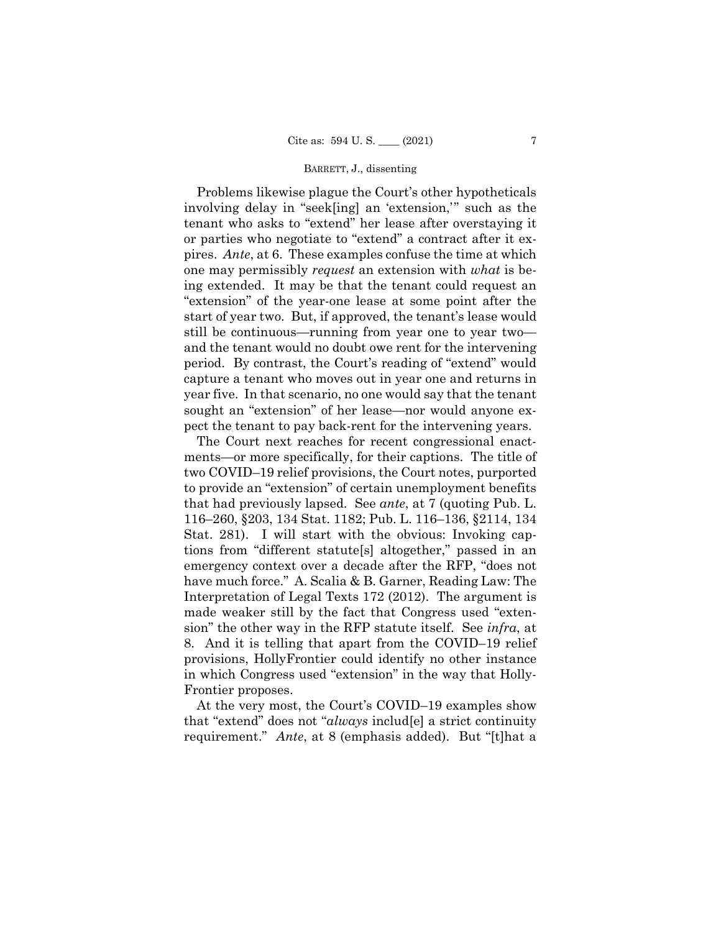Problems likewise plague the Court's other hypotheticals involving delay in "seek[ing] an 'extension,'" such as the tenant who asks to "extend" her lease after overstaying it or parties who negotiate to "extend" a contract after it expires. *Ante*, at 6. These examples confuse the time at which one may permissibly *request* an extension with *what* is being extended. It may be that the tenant could request an "extension" of the year-one lease at some point after the start of year two. But, if approved, the tenant's lease would still be continuous—running from year one to year two and the tenant would no doubt owe rent for the intervening period. By contrast, the Court's reading of "extend" would capture a tenant who moves out in year one and returns in year five. In that scenario, no one would say that the tenant sought an "extension" of her lease—nor would anyone expect the tenant to pay back-rent for the intervening years.

 The Court next reaches for recent congressional enactments—or more specifically, for their captions. The title of two COVID–19 relief provisions, the Court notes, purported to provide an "extension" of certain unemployment benefits that had previously lapsed. See *ante*, at 7 (quoting Pub. L. 116–260, §203, 134 Stat. 1182; Pub. L. 116–136, §2114, 134 Stat. 281). I will start with the obvious: Invoking captions from "different statute[s] altogether," passed in an emergency context over a decade after the RFP, "does not have much force." A. Scalia & B. Garner, Reading Law: The Interpretation of Legal Texts 172 (2012). The argument is made weaker still by the fact that Congress used "extension" the other way in the RFP statute itself. See *infra*, at 8. And it is telling that apart from the COVID–19 relief provisions, HollyFrontier could identify no other instance in which Congress used "extension" in the way that Holly-Frontier proposes.

 At the very most, the Court's COVID–19 examples show that "extend" does not "*always* includ[e] a strict continuity requirement." *Ante*, at 8 (emphasis added). But "[t]hat a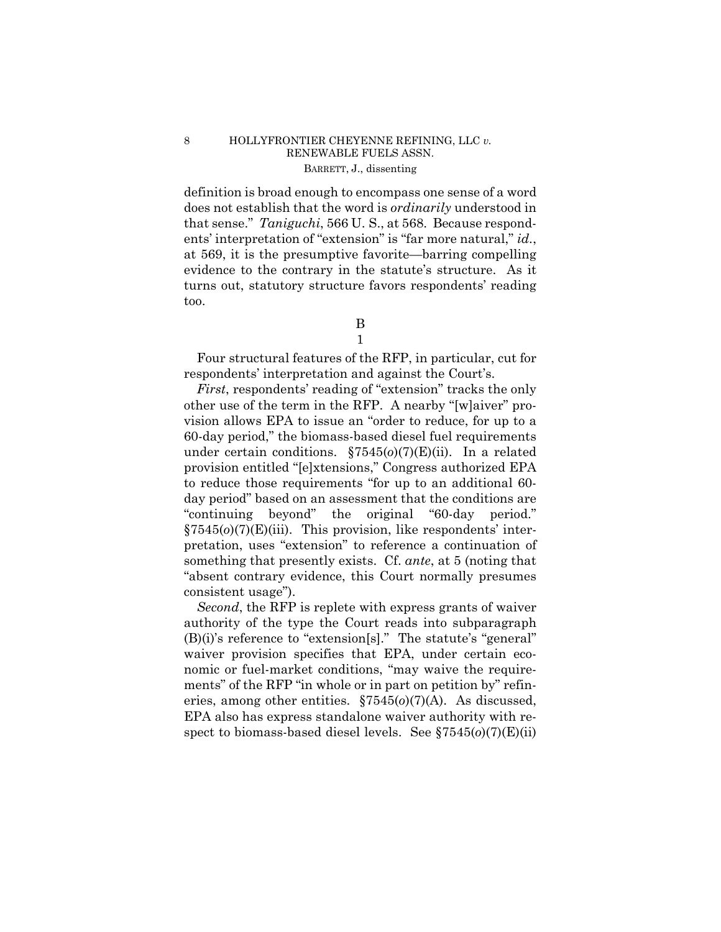# 8 HOLLYFRONTIER CHEYENNE REFINING, LLC *v.*  RENEWABLE FUELS ASSN. BARRETT, J., dissenting

definition is broad enough to encompass one sense of a word does not establish that the word is *ordinarily* understood in that sense." *Taniguchi*, 566 U. S., at 568. Because respondents' interpretation of "extension" is "far more natural," *id.*, at 569, it is the presumptive favorite—barring compelling evidence to the contrary in the statute's structure. As it turns out, statutory structure favors respondents' reading too.

B

1

Four structural features of the RFP, in particular, cut for respondents' interpretation and against the Court's.

*First*, respondents' reading of "extension" tracks the only other use of the term in the RFP. A nearby "[w]aiver" provision allows EPA to issue an "order to reduce, for up to a 60-day period," the biomass-based diesel fuel requirements under certain conditions. §7545(*o*)(7)(E)(ii). In a related provision entitled "[e]xtensions," Congress authorized EPA to reduce those requirements "for up to an additional 60 day period" based on an assessment that the conditions are "continuing beyond" the original "60-day period." §7545(*o*)(7)(E)(iii). This provision, like respondents' interpretation, uses "extension" to reference a continuation of something that presently exists. Cf. *ante*, at 5 (noting that "absent contrary evidence, this Court normally presumes consistent usage").

*Second*, the RFP is replete with express grants of waiver authority of the type the Court reads into subparagraph (B)(i)'s reference to "extension[s]." The statute's "general" waiver provision specifies that EPA, under certain economic or fuel-market conditions, "may waive the requirements" of the RFP "in whole or in part on petition by" refineries, among other entities. §7545(*o*)(7)(A). As discussed, EPA also has express standalone waiver authority with respect to biomass-based diesel levels. See §7545(*o*)(7)(E)(ii)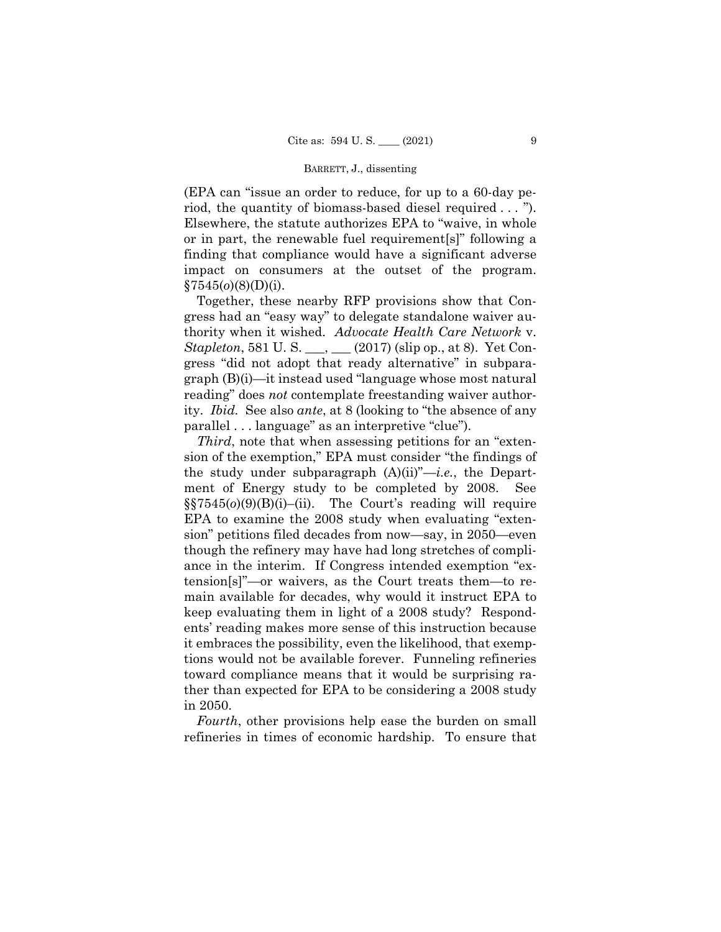impact on consumers at the outset of the program. (EPA can "issue an order to reduce, for up to a 60-day period, the quantity of biomass-based diesel required . . . "). Elsewhere, the statute authorizes EPA to "waive, in whole or in part, the renewable fuel requirement[s]" following a finding that compliance would have a significant adverse §7545(*o*)(8)(D)(i).

Together, these nearby RFP provisions show that Congress had an "easy way" to delegate standalone waiver authority when it wished. *Advocate Health Care Network* v. *Stapleton*, 581 U. S. \_\_\_, \_\_\_ (2017) (slip op., at 8). Yet Congress "did not adopt that ready alternative" in subparagraph (B)(i)—it instead used "language whose most natural reading" does *not* contemplate freestanding waiver authority. *Ibid.* See also *ante*, at 8 (looking to "the absence of any parallel . . . language" as an interpretive "clue").

*Third*, note that when assessing petitions for an "extension of the exemption," EPA must consider "the findings of the study under subparagraph (A)(ii)"—*i.e.*, the Department of Energy study to be completed by 2008. See §§7545(*o*)(9)(B)(i)–(ii). The Court's reading will require EPA to examine the 2008 study when evaluating "extension" petitions filed decades from now—say, in 2050—even though the refinery may have had long stretches of compliance in the interim. If Congress intended exemption "extension[s]"—or waivers, as the Court treats them—to remain available for decades, why would it instruct EPA to keep evaluating them in light of a 2008 study? Respondents' reading makes more sense of this instruction because it embraces the possibility, even the likelihood, that exemptions would not be available forever. Funneling refineries toward compliance means that it would be surprising rather than expected for EPA to be considering a 2008 study in 2050.

*Fourth*, other provisions help ease the burden on small refineries in times of economic hardship. To ensure that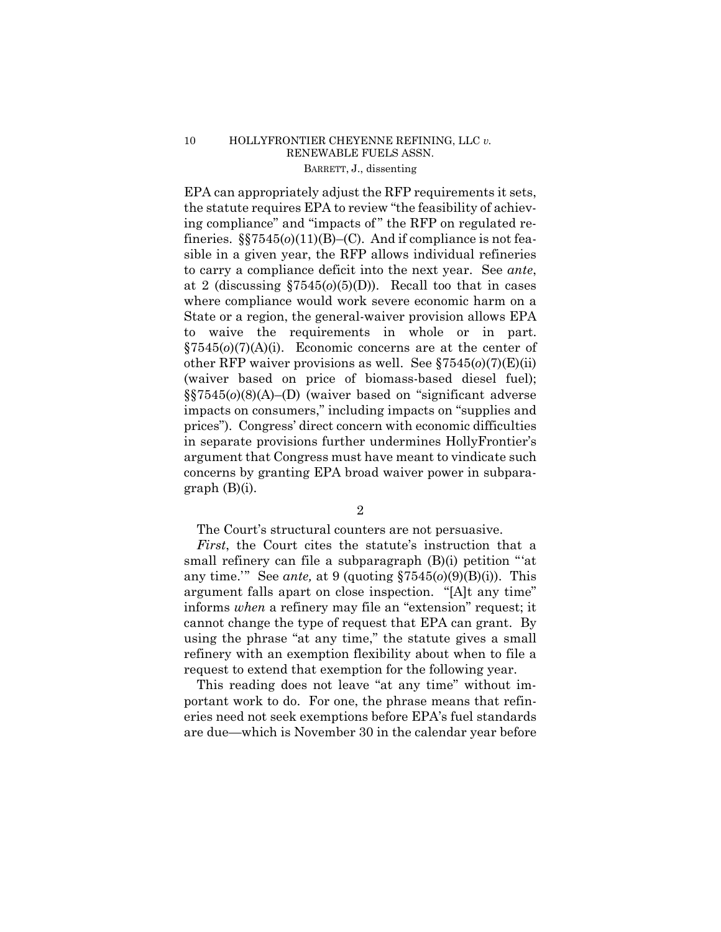# 10 HOLLYFRONTIER CHEYENNE REFINING, LLC *v.* RENEWABLE FUELS ASSN. BARRETT, J., dissenting

 to waive the requirements in whole or in part. (waiver based on price of biomass-based diesel fuel); EPA can appropriately adjust the RFP requirements it sets, the statute requires EPA to review "the feasibility of achieving compliance" and "impacts of " the RFP on regulated refineries. §§7545(*o*)(11)(B)–(C). And if compliance is not feasible in a given year, the RFP allows individual refineries to carry a compliance deficit into the next year. See *ante*, at 2 (discussing §7545(*o*)(5)(D)). Recall too that in cases where compliance would work severe economic harm on a State or a region, the general-waiver provision allows EPA §7545(*o*)(7)(A)(i). Economic concerns are at the center of other RFP waiver provisions as well. See §7545(*o*)(7)(E)(ii) §§7545(*o*)(8)(A)–(D) (waiver based on "significant adverse impacts on consumers," including impacts on "supplies and prices"). Congress' direct concern with economic difficulties in separate provisions further undermines HollyFrontier's argument that Congress must have meant to vindicate such concerns by granting EPA broad waiver power in subparagraph (B)(i).

2

The Court's structural counters are not persuasive.

 cannot change the type of request that EPA can grant. By *First*, the Court cites the statute's instruction that a small refinery can file a subparagraph (B)(i) petition "'at any time.'" See *ante,* at 9 (quoting §7545(*o*)(9)(B)(i)). This argument falls apart on close inspection. "[A]t any time" informs *when* a refinery may file an "extension" request; it using the phrase "at any time," the statute gives a small refinery with an exemption flexibility about when to file a request to extend that exemption for the following year.

This reading does not leave "at any time" without important work to do. For one, the phrase means that refineries need not seek exemptions before EPA's fuel standards are due—which is November 30 in the calendar year before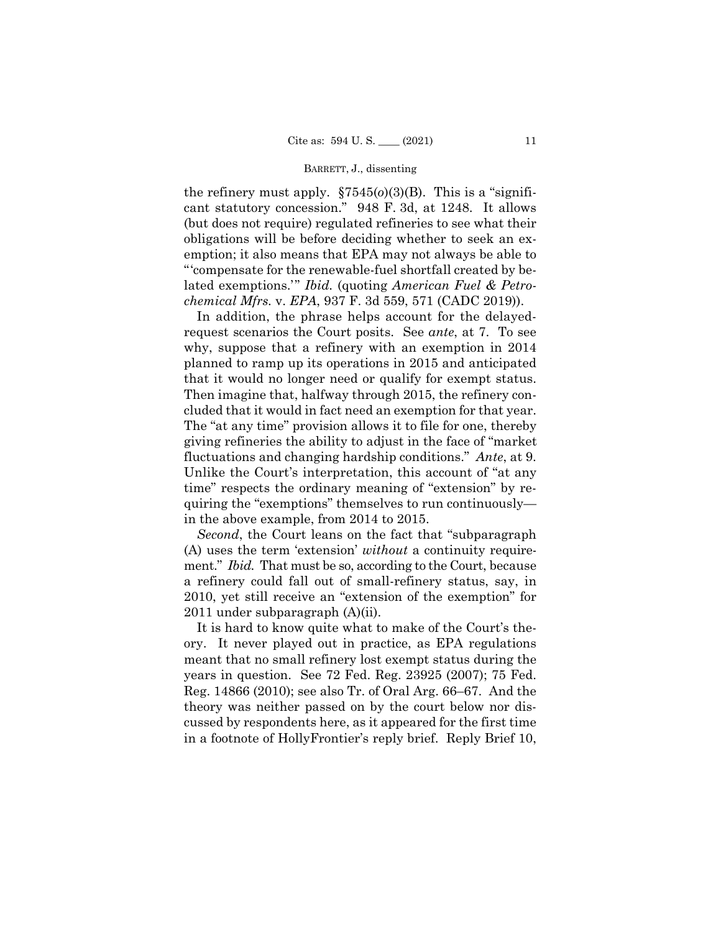the refinery must apply.  $\S7545(0)(3)(B)$ . This is a "significant statutory concession." 948 F. 3d, at 1248. It allows (but does not require) regulated refineries to see what their obligations will be before deciding whether to seek an exemption; it also means that EPA may not always be able to "'compensate for the renewable-fuel shortfall created by belated exemptions.'" *Ibid.* (quoting *American Fuel & Petrochemical Mfrs.* v. *EPA*, 937 F. 3d 559, 571 (CADC 2019)).

fluctuations and changing hardship conditions." *Ante*, at 9.<br>Unlike the Court's interpretation, this account of "at any In addition, the phrase helps account for the delayedrequest scenarios the Court posits. See *ante*, at 7. To see why, suppose that a refinery with an exemption in 2014 planned to ramp up its operations in 2015 and anticipated that it would no longer need or qualify for exempt status. Then imagine that, halfway through 2015, the refinery concluded that it would in fact need an exemption for that year. The "at any time" provision allows it to file for one, thereby giving refineries the ability to adjust in the face of "market time" respects the ordinary meaning of "extension" by requiring the "exemptions" themselves to run continuously in the above example, from 2014 to 2015.

 ment." *Ibid.* That must be so, according to the Court, because *Second*, the Court leans on the fact that "subparagraph (A) uses the term 'extension' *without* a continuity requirea refinery could fall out of small-refinery status, say, in 2010, yet still receive an "extension of the exemption" for 2011 under subparagraph (A)(ii).

It is hard to know quite what to make of the Court's theory. It never played out in practice, as EPA regulations meant that no small refinery lost exempt status during the years in question. See 72 Fed. Reg. 23925 (2007); 75 Fed. Reg. 14866 (2010); see also Tr. of Oral Arg. 66–67. And the theory was neither passed on by the court below nor discussed by respondents here, as it appeared for the first time in a footnote of HollyFrontier's reply brief. Reply Brief 10,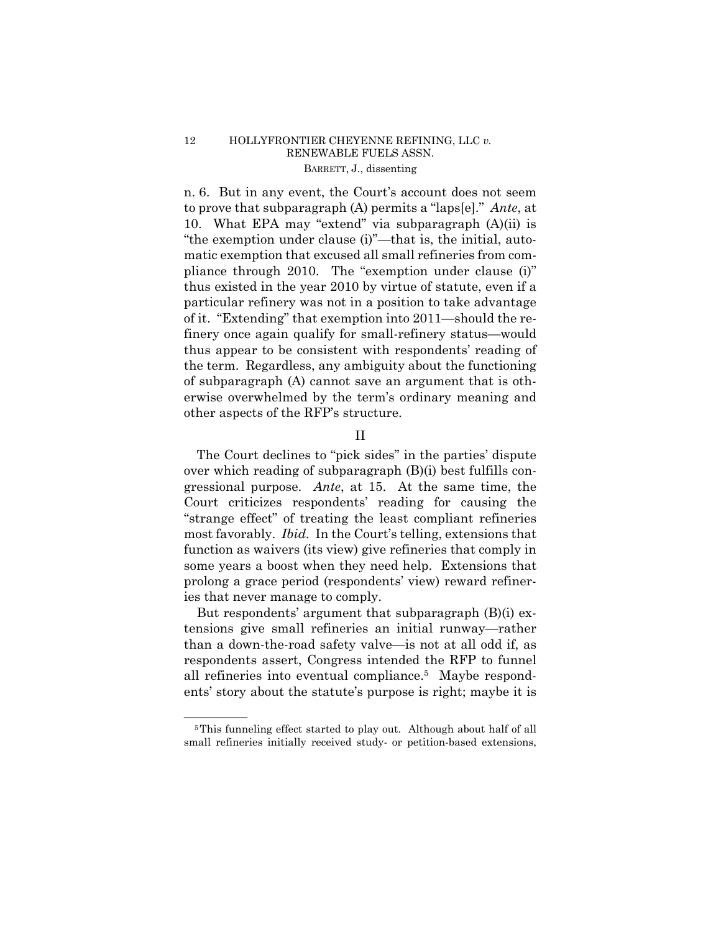# 12 HOLLYFRONTIER CHEYENNE REFINING, LLC *v.*  RENEWABLE FUELS ASSN. BARRETT, J., dissenting

n. 6. But in any event, the Court's account does not seem to prove that subparagraph (A) permits a "laps[e]." *Ante*, at 10. What EPA may "extend" via subparagraph (A)(ii) is "the exemption under clause (i)"—that is, the initial, automatic exemption that excused all small refineries from compliance through 2010. The "exemption under clause (i)" thus existed in the year 2010 by virtue of statute, even if a particular refinery was not in a position to take advantage of it. "Extending" that exemption into 2011—should the refinery once again qualify for small-refinery status—would thus appear to be consistent with respondents' reading of the term. Regardless, any ambiguity about the functioning of subparagraph (A) cannot save an argument that is otherwise overwhelmed by the term's ordinary meaning and other aspects of the RFP's structure.

# II

The Court declines to "pick sides" in the parties' dispute over which reading of subparagraph (B)(i) best fulfills congressional purpose. *Ante*, at 15. At the same time, the Court criticizes respondents' reading for causing the "strange effect" of treating the least compliant refineries most favorably. *Ibid.* In the Court's telling, extensions that function as waivers (its view) give refineries that comply in some years a boost when they need help. Extensions that prolong a grace period (respondents' view) reward refineries that never manage to comply.

But respondents' argument that subparagraph (B)(i) extensions give small refineries an initial runway—rather than a down-the-road safety valve—is not at all odd if, as respondents assert, Congress intended the RFP to funnel all refineries into eventual compliance.5 Maybe respondents' story about the statute's purpose is right; maybe it is

<sup>&</sup>lt;sup>5</sup>This funneling effect started to play out. Although about half of all small refineries initially received study- or petition-based extensions,